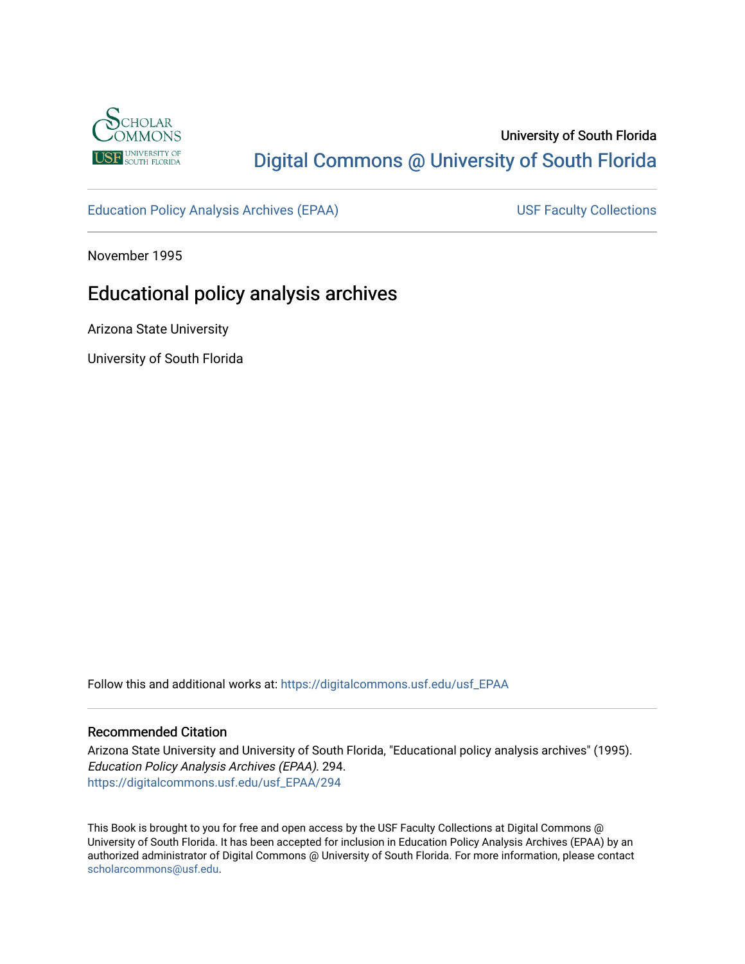

# University of South Florida [Digital Commons @ University of South Florida](https://digitalcommons.usf.edu/)

[Education Policy Analysis Archives \(EPAA\)](https://digitalcommons.usf.edu/usf_EPAA) USF Faculty Collections

November 1995

# Educational policy analysis archives

Arizona State University

University of South Florida

Follow this and additional works at: [https://digitalcommons.usf.edu/usf\\_EPAA](https://digitalcommons.usf.edu/usf_EPAA?utm_source=digitalcommons.usf.edu%2Fusf_EPAA%2F294&utm_medium=PDF&utm_campaign=PDFCoverPages)

#### Recommended Citation

Arizona State University and University of South Florida, "Educational policy analysis archives" (1995). Education Policy Analysis Archives (EPAA). 294. [https://digitalcommons.usf.edu/usf\\_EPAA/294](https://digitalcommons.usf.edu/usf_EPAA/294?utm_source=digitalcommons.usf.edu%2Fusf_EPAA%2F294&utm_medium=PDF&utm_campaign=PDFCoverPages)

This Book is brought to you for free and open access by the USF Faculty Collections at Digital Commons @ University of South Florida. It has been accepted for inclusion in Education Policy Analysis Archives (EPAA) by an authorized administrator of Digital Commons @ University of South Florida. For more information, please contact [scholarcommons@usf.edu.](mailto:scholarcommons@usf.edu)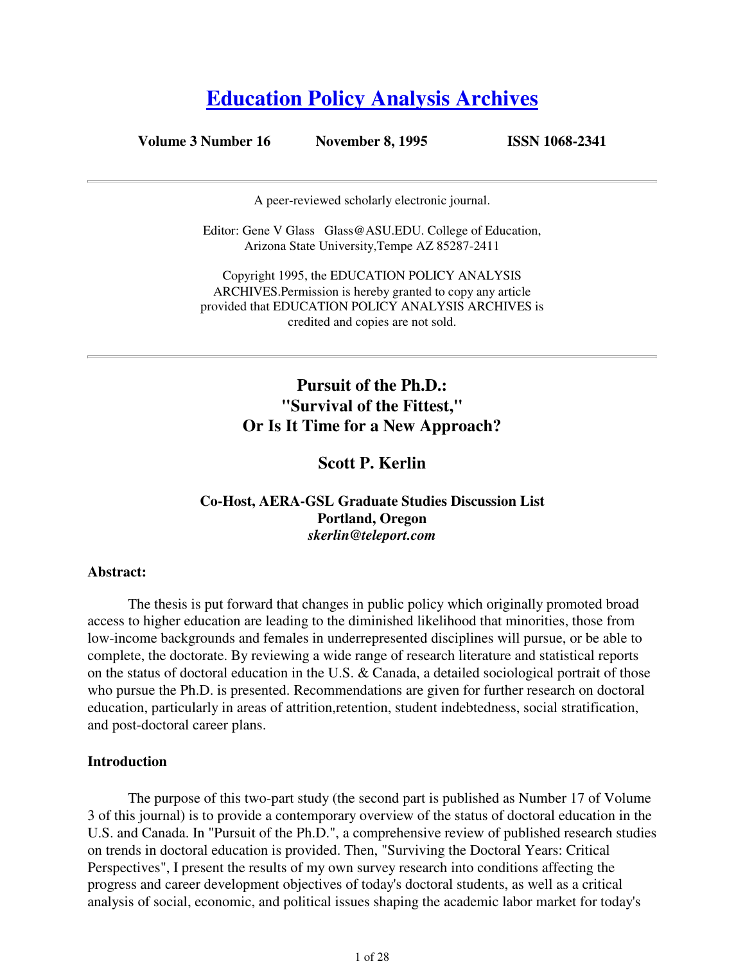# **Education Policy Analysis Archives**

#### **Volume 3 Number 16 November 8, 1995 ISSN 1068-2341**

A peer-reviewed scholarly electronic journal.

Editor: Gene V Glass Glass@ASU.EDU. College of Education, Arizona State University,Tempe AZ 85287-2411

Copyright 1995, the EDUCATION POLICY ANALYSIS ARCHIVES.Permission is hereby granted to copy any article provided that EDUCATION POLICY ANALYSIS ARCHIVES is credited and copies are not sold.

# **Pursuit of the Ph.D.: "Survival of the Fittest," Or Is It Time for a New Approach?**

### **Scott P. Kerlin**

#### **Co-Host, AERA-GSL Graduate Studies Discussion List Portland, Oregon** *skerlin@teleport.com*

#### **Abstract:**

 The thesis is put forward that changes in public policy which originally promoted broad access to higher education are leading to the diminished likelihood that minorities, those from low-income backgrounds and females in underrepresented disciplines will pursue, or be able to complete, the doctorate. By reviewing a wide range of research literature and statistical reports on the status of doctoral education in the U.S. & Canada, a detailed sociological portrait of those who pursue the Ph.D. is presented. Recommendations are given for further research on doctoral education, particularly in areas of attrition,retention, student indebtedness, social stratification, and post-doctoral career plans.

#### **Introduction**

 The purpose of this two-part study (the second part is published as Number 17 of Volume 3 of this journal) is to provide a contemporary overview of the status of doctoral education in the U.S. and Canada. In "Pursuit of the Ph.D.", a comprehensive review of published research studies on trends in doctoral education is provided. Then, "Surviving the Doctoral Years: Critical Perspectives", I present the results of my own survey research into conditions affecting the progress and career development objectives of today's doctoral students, as well as a critical analysis of social, economic, and political issues shaping the academic labor market for today's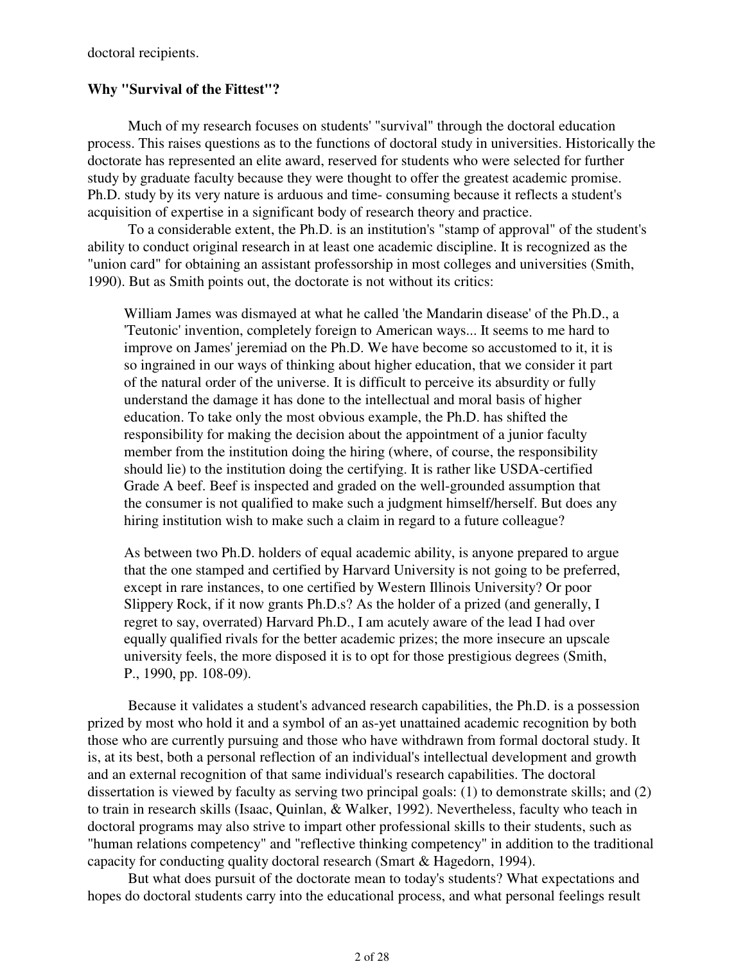doctoral recipients.

#### **Why "Survival of the Fittest"?**

 Much of my research focuses on students' "survival" through the doctoral education process. This raises questions as to the functions of doctoral study in universities. Historically the doctorate has represented an elite award, reserved for students who were selected for further study by graduate faculty because they were thought to offer the greatest academic promise. Ph.D. study by its very nature is arduous and time- consuming because it reflects a student's acquisition of expertise in a significant body of research theory and practice.

 To a considerable extent, the Ph.D. is an institution's "stamp of approval" of the student's ability to conduct original research in at least one academic discipline. It is recognized as the "union card" for obtaining an assistant professorship in most colleges and universities (Smith, 1990). But as Smith points out, the doctorate is not without its critics:

William James was dismayed at what he called 'the Mandarin disease' of the Ph.D., a 'Teutonic' invention, completely foreign to American ways... It seems to me hard to improve on James' jeremiad on the Ph.D. We have become so accustomed to it, it is so ingrained in our ways of thinking about higher education, that we consider it part of the natural order of the universe. It is difficult to perceive its absurdity or fully understand the damage it has done to the intellectual and moral basis of higher education. To take only the most obvious example, the Ph.D. has shifted the responsibility for making the decision about the appointment of a junior faculty member from the institution doing the hiring (where, of course, the responsibility should lie) to the institution doing the certifying. It is rather like USDA-certified Grade A beef. Beef is inspected and graded on the well-grounded assumption that the consumer is not qualified to make such a judgment himself/herself. But does any hiring institution wish to make such a claim in regard to a future colleague?

As between two Ph.D. holders of equal academic ability, is anyone prepared to argue that the one stamped and certified by Harvard University is not going to be preferred, except in rare instances, to one certified by Western Illinois University? Or poor Slippery Rock, if it now grants Ph.D.s? As the holder of a prized (and generally, I regret to say, overrated) Harvard Ph.D., I am acutely aware of the lead I had over equally qualified rivals for the better academic prizes; the more insecure an upscale university feels, the more disposed it is to opt for those prestigious degrees (Smith, P., 1990, pp. 108-09).

 Because it validates a student's advanced research capabilities, the Ph.D. is a possession prized by most who hold it and a symbol of an as-yet unattained academic recognition by both those who are currently pursuing and those who have withdrawn from formal doctoral study. It is, at its best, both a personal reflection of an individual's intellectual development and growth and an external recognition of that same individual's research capabilities. The doctoral dissertation is viewed by faculty as serving two principal goals: (1) to demonstrate skills; and (2) to train in research skills (Isaac, Quinlan, & Walker, 1992). Nevertheless, faculty who teach in doctoral programs may also strive to impart other professional skills to their students, such as "human relations competency" and "reflective thinking competency" in addition to the traditional capacity for conducting quality doctoral research (Smart & Hagedorn, 1994).

 But what does pursuit of the doctorate mean to today's students? What expectations and hopes do doctoral students carry into the educational process, and what personal feelings result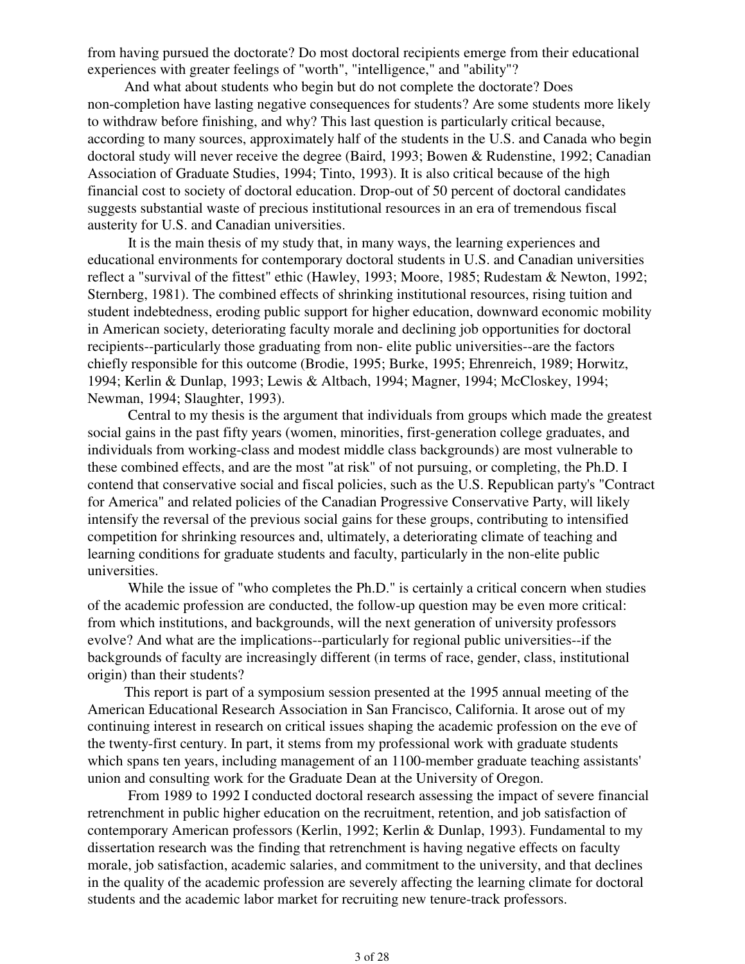from having pursued the doctorate? Do most doctoral recipients emerge from their educational experiences with greater feelings of "worth", "intelligence," and "ability"?

And what about students who begin but do not complete the doctorate? Does non-completion have lasting negative consequences for students? Are some students more likely to withdraw before finishing, and why? This last question is particularly critical because, according to many sources, approximately half of the students in the U.S. and Canada who begin doctoral study will never receive the degree (Baird, 1993; Bowen & Rudenstine, 1992; Canadian Association of Graduate Studies, 1994; Tinto, 1993). It is also critical because of the high financial cost to society of doctoral education. Drop-out of 50 percent of doctoral candidates suggests substantial waste of precious institutional resources in an era of tremendous fiscal austerity for U.S. and Canadian universities.

 It is the main thesis of my study that, in many ways, the learning experiences and educational environments for contemporary doctoral students in U.S. and Canadian universities reflect a "survival of the fittest" ethic (Hawley, 1993; Moore, 1985; Rudestam & Newton, 1992; Sternberg, 1981). The combined effects of shrinking institutional resources, rising tuition and student indebtedness, eroding public support for higher education, downward economic mobility in American society, deteriorating faculty morale and declining job opportunities for doctoral recipients--particularly those graduating from non- elite public universities--are the factors chiefly responsible for this outcome (Brodie, 1995; Burke, 1995; Ehrenreich, 1989; Horwitz, 1994; Kerlin & Dunlap, 1993; Lewis & Altbach, 1994; Magner, 1994; McCloskey, 1994; Newman, 1994; Slaughter, 1993).

 Central to my thesis is the argument that individuals from groups which made the greatest social gains in the past fifty years (women, minorities, first-generation college graduates, and individuals from working-class and modest middle class backgrounds) are most vulnerable to these combined effects, and are the most "at risk" of not pursuing, or completing, the Ph.D. I contend that conservative social and fiscal policies, such as the U.S. Republican party's "Contract for America" and related policies of the Canadian Progressive Conservative Party, will likely intensify the reversal of the previous social gains for these groups, contributing to intensified competition for shrinking resources and, ultimately, a deteriorating climate of teaching and learning conditions for graduate students and faculty, particularly in the non-elite public universities.

While the issue of "who completes the Ph.D." is certainly a critical concern when studies of the academic profession are conducted, the follow-up question may be even more critical: from which institutions, and backgrounds, will the next generation of university professors evolve? And what are the implications--particularly for regional public universities--if the backgrounds of faculty are increasingly different (in terms of race, gender, class, institutional origin) than their students?

This report is part of a symposium session presented at the 1995 annual meeting of the American Educational Research Association in San Francisco, California. It arose out of my continuing interest in research on critical issues shaping the academic profession on the eve of the twenty-first century. In part, it stems from my professional work with graduate students which spans ten years, including management of an 1100-member graduate teaching assistants' union and consulting work for the Graduate Dean at the University of Oregon.

 From 1989 to 1992 I conducted doctoral research assessing the impact of severe financial retrenchment in public higher education on the recruitment, retention, and job satisfaction of contemporary American professors (Kerlin, 1992; Kerlin & Dunlap, 1993). Fundamental to my dissertation research was the finding that retrenchment is having negative effects on faculty morale, job satisfaction, academic salaries, and commitment to the university, and that declines in the quality of the academic profession are severely affecting the learning climate for doctoral students and the academic labor market for recruiting new tenure-track professors.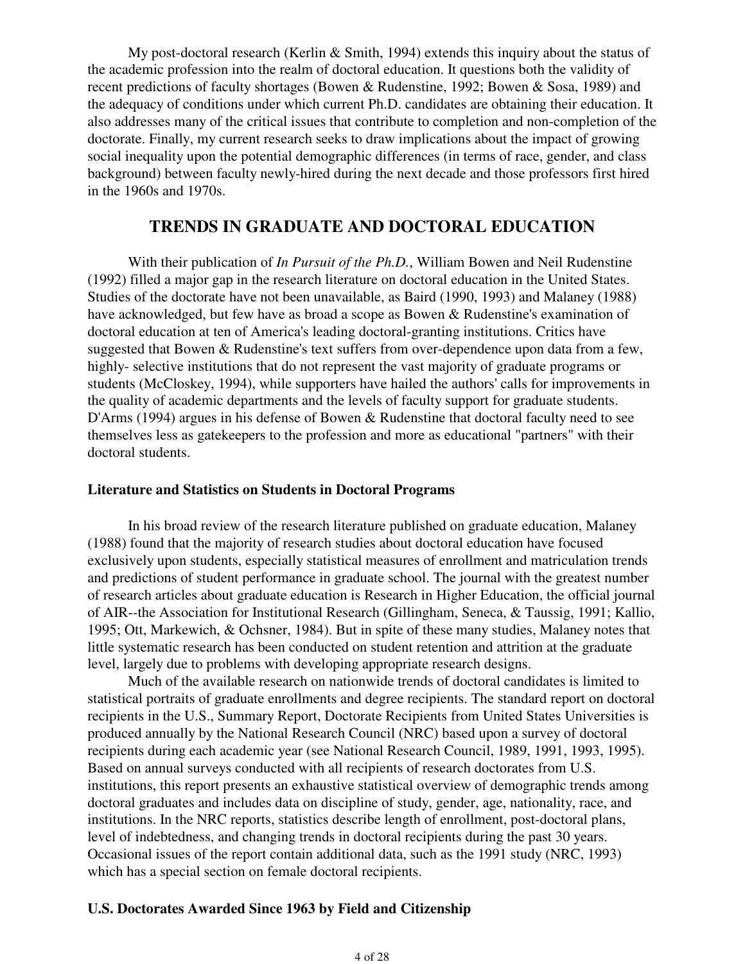My post-doctoral research (Kerlin & Smith, 1994) extends this inquiry about the status of the academic profession into the realm of doctoral education. It questions both the validity of recent predictions of faculty shortages (Bowen & Rudenstine, 1992; Bowen & Sosa, 1989) and the adequacy of conditions under which current Ph.D. candidates are obtaining their education. It also addresses many of the critical issues that contribute to completion and non-completion of the doctorate. Finally, my current research seeks to draw implications about the impact of growing social inequality upon the potential demographic differences (in terms of race, gender, and class background) between faculty newly-hired during the next decade and those professors first hired in the 1960s and 1970s.

## **TRENDS IN GRADUATE AND DOCTORAL EDUCATION**

 With their publication of *In Pursuit of the Ph.D.*, William Bowen and Neil Rudenstine (1992) filled a major gap in the research literature on doctoral education in the United States. Studies of the doctorate have not been unavailable, as Baird (1990, 1993) and Malaney (1988) have acknowledged, but few have as broad a scope as Bowen & Rudenstine's examination of doctoral education at ten of America's leading doctoral-granting institutions. Critics have suggested that Bowen & Rudenstine's text suffers from over-dependence upon data from a few, highly- selective institutions that do not represent the vast majority of graduate programs or students (McCloskey, 1994), while supporters have hailed the authors' calls for improvements in the quality of academic departments and the levels of faculty support for graduate students. D'Arms (1994) argues in his defense of Bowen & Rudenstine that doctoral faculty need to see themselves less as gatekeepers to the profession and more as educational "partners" with their doctoral students.

#### **Literature and Statistics on Students in Doctoral Programs**

 In his broad review of the research literature published on graduate education, Malaney (1988) found that the majority of research studies about doctoral education have focused exclusively upon students, especially statistical measures of enrollment and matriculation trends and predictions of student performance in graduate school. The journal with the greatest number of research articles about graduate education is Research in Higher Education, the official journal of AIR--the Association for Institutional Research (Gillingham, Seneca, & Taussig, 1991; Kallio, 1995; Ott, Markewich, & Ochsner, 1984). But in spite of these many studies, Malaney notes that little systematic research has been conducted on student retention and attrition at the graduate level, largely due to problems with developing appropriate research designs.

 Much of the available research on nationwide trends of doctoral candidates is limited to statistical portraits of graduate enrollments and degree recipients. The standard report on doctoral recipients in the U.S., Summary Report, Doctorate Recipients from United States Universities is produced annually by the National Research Council (NRC) based upon a survey of doctoral recipients during each academic year (see National Research Council, 1989, 1991, 1993, 1995). Based on annual surveys conducted with all recipients of research doctorates from U.S. institutions, this report presents an exhaustive statistical overview of demographic trends among doctoral graduates and includes data on discipline of study, gender, age, nationality, race, and institutions. In the NRC reports, statistics describe length of enrollment, post-doctoral plans, level of indebtedness, and changing trends in doctoral recipients during the past 30 years. Occasional issues of the report contain additional data, such as the 1991 study (NRC, 1993) which has a special section on female doctoral recipients.

### **U.S. Doctorates Awarded Since 1963 by Field and Citizenship**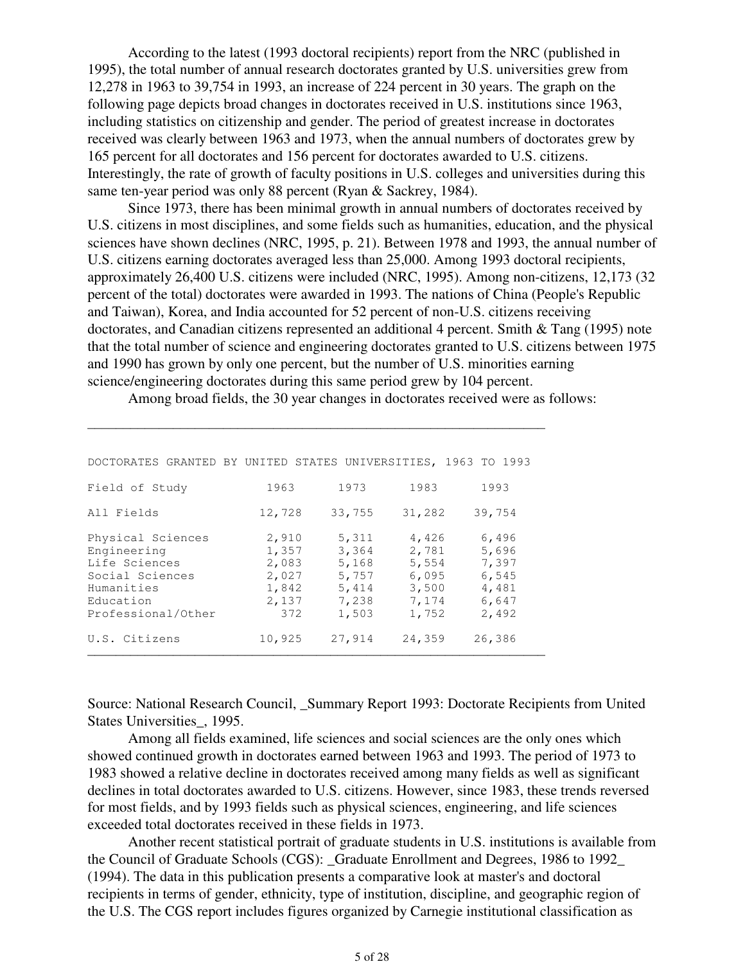According to the latest (1993 doctoral recipients) report from the NRC (published in 1995), the total number of annual research doctorates granted by U.S. universities grew from 12,278 in 1963 to 39,754 in 1993, an increase of 224 percent in 30 years. The graph on the following page depicts broad changes in doctorates received in U.S. institutions since 1963, including statistics on citizenship and gender. The period of greatest increase in doctorates received was clearly between 1963 and 1973, when the annual numbers of doctorates grew by 165 percent for all doctorates and 156 percent for doctorates awarded to U.S. citizens. Interestingly, the rate of growth of faculty positions in U.S. colleges and universities during this same ten-year period was only 88 percent (Ryan & Sackrey, 1984).

 Since 1973, there has been minimal growth in annual numbers of doctorates received by U.S. citizens in most disciplines, and some fields such as humanities, education, and the physical sciences have shown declines (NRC, 1995, p. 21). Between 1978 and 1993, the annual number of U.S. citizens earning doctorates averaged less than 25,000. Among 1993 doctoral recipients, approximately 26,400 U.S. citizens were included (NRC, 1995). Among non-citizens, 12,173 (32 percent of the total) doctorates were awarded in 1993. The nations of China (People's Republic and Taiwan), Korea, and India accounted for 52 percent of non-U.S. citizens receiving doctorates, and Canadian citizens represented an additional 4 percent. Smith & Tang (1995) note that the total number of science and engineering doctorates granted to U.S. citizens between 1975 and 1990 has grown by only one percent, but the number of U.S. minorities earning science/engineering doctorates during this same period grew by 104 percent.

Among broad fields, the 30 year changes in doctorates received were as follows:

| DOCTORATES GRANTED BY UNITED STATES UNIVERSITIES,                                                                     |                                                           |                                                             |                                                             | 1963 TO 1993                                                |
|-----------------------------------------------------------------------------------------------------------------------|-----------------------------------------------------------|-------------------------------------------------------------|-------------------------------------------------------------|-------------------------------------------------------------|
| Field of Study                                                                                                        | 1963                                                      | 1973                                                        | 1983                                                        | 1993                                                        |
| All Fields                                                                                                            | 12,728                                                    | 33,755                                                      | 31,282                                                      | 39,754                                                      |
| Physical Sciences<br>Engineering<br>Life Sciences<br>Social Sciences<br>Humanities<br>Education<br>Professional/Other | 2,910<br>1,357<br>2,083<br>2,027<br>1,842<br>2,137<br>372 | 5,311<br>3,364<br>5,168<br>5,757<br>5,414<br>7,238<br>1,503 | 4,426<br>2,781<br>5,554<br>6,095<br>3,500<br>7,174<br>1,752 | 6,496<br>5,696<br>7,397<br>6,545<br>4,481<br>6,647<br>2,492 |
| U.S. Citizens                                                                                                         | 10,925                                                    | 27,914                                                      | 24,359                                                      | 26,386                                                      |

\_\_\_\_\_\_\_\_\_\_\_\_\_\_\_\_\_\_\_\_\_\_\_\_\_\_\_\_\_\_\_\_\_\_\_\_\_\_\_\_\_\_\_\_\_\_\_\_\_\_\_\_\_\_\_\_\_\_\_\_\_\_\_\_

Source: National Research Council, Summary Report 1993: Doctorate Recipients from United States Universities\_, 1995.

 Among all fields examined, life sciences and social sciences are the only ones which showed continued growth in doctorates earned between 1963 and 1993. The period of 1973 to 1983 showed a relative decline in doctorates received among many fields as well as significant declines in total doctorates awarded to U.S. citizens. However, since 1983, these trends reversed for most fields, and by 1993 fields such as physical sciences, engineering, and life sciences exceeded total doctorates received in these fields in 1973.

 Another recent statistical portrait of graduate students in U.S. institutions is available from the Council of Graduate Schools (CGS): \_Graduate Enrollment and Degrees, 1986 to 1992\_ (1994). The data in this publication presents a comparative look at master's and doctoral recipients in terms of gender, ethnicity, type of institution, discipline, and geographic region of the U.S. The CGS report includes figures organized by Carnegie institutional classification as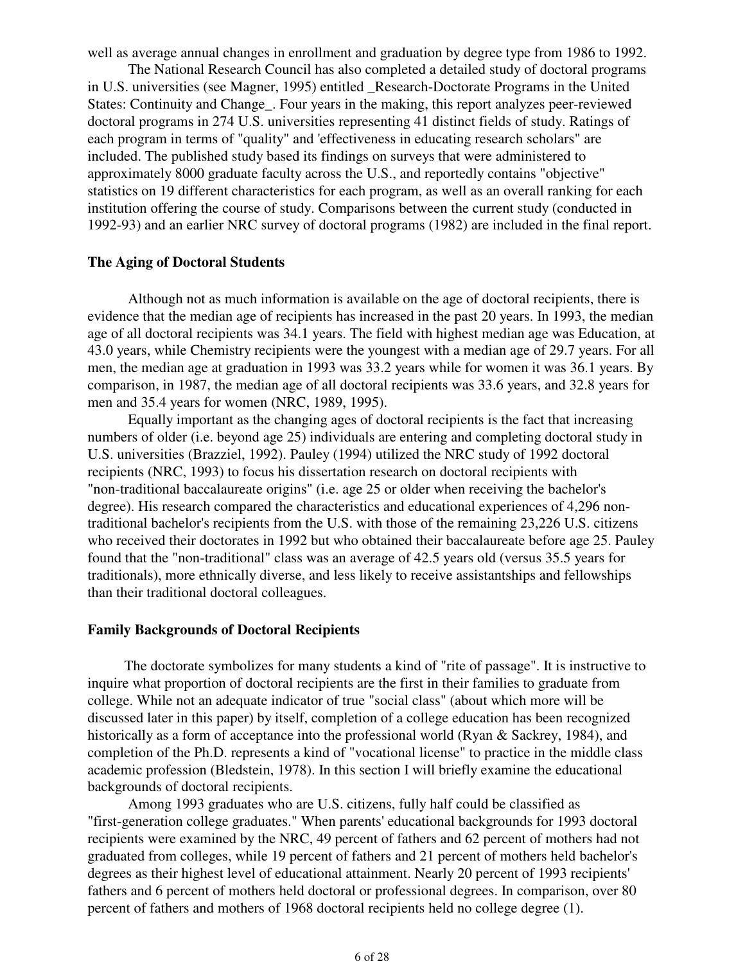well as average annual changes in enrollment and graduation by degree type from 1986 to 1992.

 The National Research Council has also completed a detailed study of doctoral programs in U.S. universities (see Magner, 1995) entitled \_Research-Doctorate Programs in the United States: Continuity and Change\_. Four years in the making, this report analyzes peer-reviewed doctoral programs in 274 U.S. universities representing 41 distinct fields of study. Ratings of each program in terms of "quality" and 'effectiveness in educating research scholars" are included. The published study based its findings on surveys that were administered to approximately 8000 graduate faculty across the U.S., and reportedly contains "objective" statistics on 19 different characteristics for each program, as well as an overall ranking for each institution offering the course of study. Comparisons between the current study (conducted in 1992-93) and an earlier NRC survey of doctoral programs (1982) are included in the final report.

#### **The Aging of Doctoral Students**

 Although not as much information is available on the age of doctoral recipients, there is evidence that the median age of recipients has increased in the past 20 years. In 1993, the median age of all doctoral recipients was 34.1 years. The field with highest median age was Education, at 43.0 years, while Chemistry recipients were the youngest with a median age of 29.7 years. For all men, the median age at graduation in 1993 was 33.2 years while for women it was 36.1 years. By comparison, in 1987, the median age of all doctoral recipients was 33.6 years, and 32.8 years for men and 35.4 years for women (NRC, 1989, 1995).

 Equally important as the changing ages of doctoral recipients is the fact that increasing numbers of older (i.e. beyond age 25) individuals are entering and completing doctoral study in U.S. universities (Brazziel, 1992). Pauley (1994) utilized the NRC study of 1992 doctoral recipients (NRC, 1993) to focus his dissertation research on doctoral recipients with "non-traditional baccalaureate origins" (i.e. age 25 or older when receiving the bachelor's degree). His research compared the characteristics and educational experiences of 4,296 nontraditional bachelor's recipients from the U.S. with those of the remaining 23,226 U.S. citizens who received their doctorates in 1992 but who obtained their baccalaureate before age 25. Pauley found that the "non-traditional" class was an average of 42.5 years old (versus 35.5 years for traditionals), more ethnically diverse, and less likely to receive assistantships and fellowships than their traditional doctoral colleagues.

#### **Family Backgrounds of Doctoral Recipients**

The doctorate symbolizes for many students a kind of "rite of passage". It is instructive to inquire what proportion of doctoral recipients are the first in their families to graduate from college. While not an adequate indicator of true "social class" (about which more will be discussed later in this paper) by itself, completion of a college education has been recognized historically as a form of acceptance into the professional world (Ryan & Sackrey, 1984), and completion of the Ph.D. represents a kind of "vocational license" to practice in the middle class academic profession (Bledstein, 1978). In this section I will briefly examine the educational backgrounds of doctoral recipients.

 Among 1993 graduates who are U.S. citizens, fully half could be classified as "first-generation college graduates." When parents' educational backgrounds for 1993 doctoral recipients were examined by the NRC, 49 percent of fathers and 62 percent of mothers had not graduated from colleges, while 19 percent of fathers and 21 percent of mothers held bachelor's degrees as their highest level of educational attainment. Nearly 20 percent of 1993 recipients' fathers and 6 percent of mothers held doctoral or professional degrees. In comparison, over 80 percent of fathers and mothers of 1968 doctoral recipients held no college degree (1).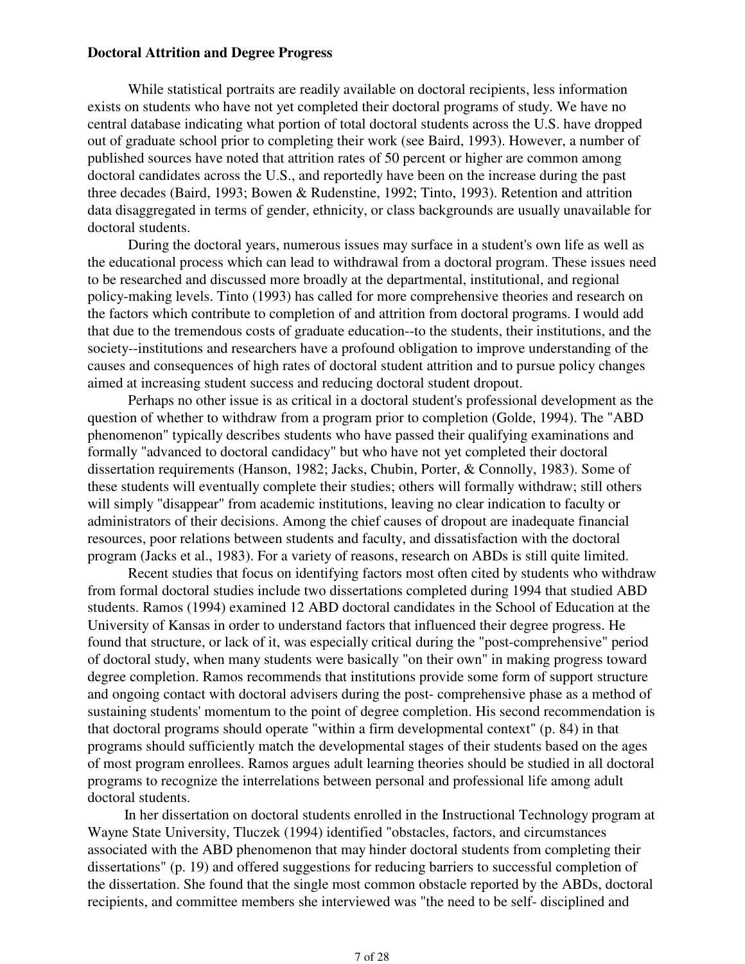#### **Doctoral Attrition and Degree Progress**

 While statistical portraits are readily available on doctoral recipients, less information exists on students who have not yet completed their doctoral programs of study. We have no central database indicating what portion of total doctoral students across the U.S. have dropped out of graduate school prior to completing their work (see Baird, 1993). However, a number of published sources have noted that attrition rates of 50 percent or higher are common among doctoral candidates across the U.S., and reportedly have been on the increase during the past three decades (Baird, 1993; Bowen & Rudenstine, 1992; Tinto, 1993). Retention and attrition data disaggregated in terms of gender, ethnicity, or class backgrounds are usually unavailable for doctoral students.

 During the doctoral years, numerous issues may surface in a student's own life as well as the educational process which can lead to withdrawal from a doctoral program. These issues need to be researched and discussed more broadly at the departmental, institutional, and regional policy-making levels. Tinto (1993) has called for more comprehensive theories and research on the factors which contribute to completion of and attrition from doctoral programs. I would add that due to the tremendous costs of graduate education--to the students, their institutions, and the society--institutions and researchers have a profound obligation to improve understanding of the causes and consequences of high rates of doctoral student attrition and to pursue policy changes aimed at increasing student success and reducing doctoral student dropout.

 Perhaps no other issue is as critical in a doctoral student's professional development as the question of whether to withdraw from a program prior to completion (Golde, 1994). The "ABD phenomenon" typically describes students who have passed their qualifying examinations and formally "advanced to doctoral candidacy" but who have not yet completed their doctoral dissertation requirements (Hanson, 1982; Jacks, Chubin, Porter, & Connolly, 1983). Some of these students will eventually complete their studies; others will formally withdraw; still others will simply "disappear" from academic institutions, leaving no clear indication to faculty or administrators of their decisions. Among the chief causes of dropout are inadequate financial resources, poor relations between students and faculty, and dissatisfaction with the doctoral program (Jacks et al., 1983). For a variety of reasons, research on ABDs is still quite limited.

 Recent studies that focus on identifying factors most often cited by students who withdraw from formal doctoral studies include two dissertations completed during 1994 that studied ABD students. Ramos (1994) examined 12 ABD doctoral candidates in the School of Education at the University of Kansas in order to understand factors that influenced their degree progress. He found that structure, or lack of it, was especially critical during the "post-comprehensive" period of doctoral study, when many students were basically "on their own" in making progress toward degree completion. Ramos recommends that institutions provide some form of support structure and ongoing contact with doctoral advisers during the post- comprehensive phase as a method of sustaining students' momentum to the point of degree completion. His second recommendation is that doctoral programs should operate "within a firm developmental context" (p. 84) in that programs should sufficiently match the developmental stages of their students based on the ages of most program enrollees. Ramos argues adult learning theories should be studied in all doctoral programs to recognize the interrelations between personal and professional life among adult doctoral students.

In her dissertation on doctoral students enrolled in the Instructional Technology program at Wayne State University, Tluczek (1994) identified "obstacles, factors, and circumstances associated with the ABD phenomenon that may hinder doctoral students from completing their dissertations" (p. 19) and offered suggestions for reducing barriers to successful completion of the dissertation. She found that the single most common obstacle reported by the ABDs, doctoral recipients, and committee members she interviewed was "the need to be self- disciplined and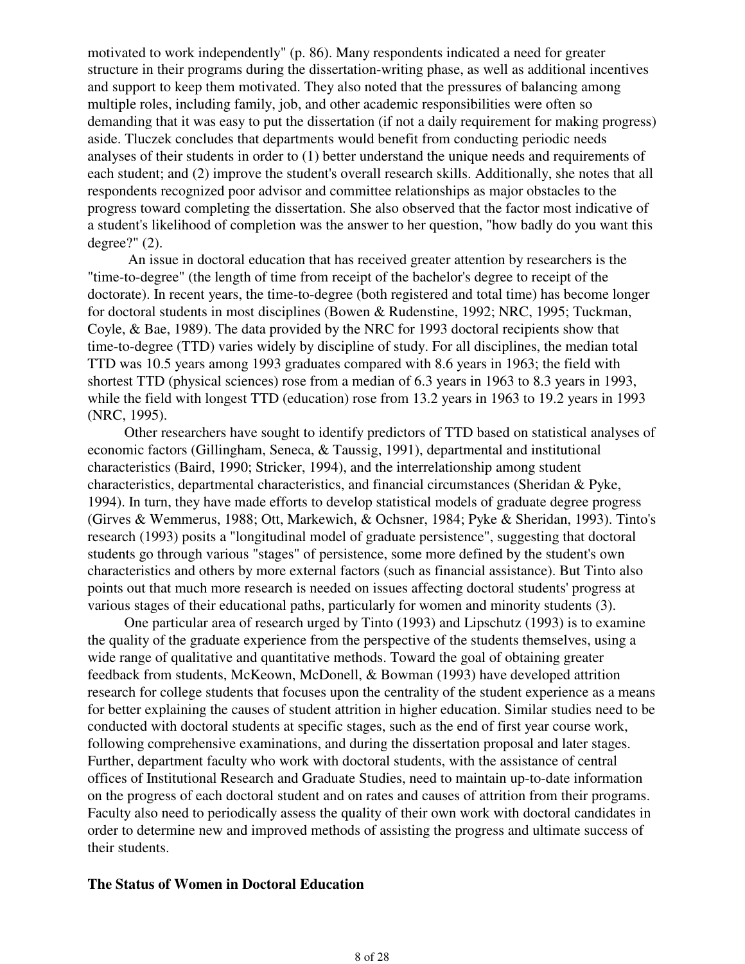motivated to work independently" (p. 86). Many respondents indicated a need for greater structure in their programs during the dissertation-writing phase, as well as additional incentives and support to keep them motivated. They also noted that the pressures of balancing among multiple roles, including family, job, and other academic responsibilities were often so demanding that it was easy to put the dissertation (if not a daily requirement for making progress) aside. Tluczek concludes that departments would benefit from conducting periodic needs analyses of their students in order to (1) better understand the unique needs and requirements of each student; and (2) improve the student's overall research skills. Additionally, she notes that all respondents recognized poor advisor and committee relationships as major obstacles to the progress toward completing the dissertation. She also observed that the factor most indicative of a student's likelihood of completion was the answer to her question, "how badly do you want this degree?" (2).

 An issue in doctoral education that has received greater attention by researchers is the "time-to-degree" (the length of time from receipt of the bachelor's degree to receipt of the doctorate). In recent years, the time-to-degree (both registered and total time) has become longer for doctoral students in most disciplines (Bowen & Rudenstine, 1992; NRC, 1995; Tuckman, Coyle, & Bae, 1989). The data provided by the NRC for 1993 doctoral recipients show that time-to-degree (TTD) varies widely by discipline of study. For all disciplines, the median total TTD was 10.5 years among 1993 graduates compared with 8.6 years in 1963; the field with shortest TTD (physical sciences) rose from a median of 6.3 years in 1963 to 8.3 years in 1993, while the field with longest TTD (education) rose from 13.2 years in 1963 to 19.2 years in 1993 (NRC, 1995).

Other researchers have sought to identify predictors of TTD based on statistical analyses of economic factors (Gillingham, Seneca, & Taussig, 1991), departmental and institutional characteristics (Baird, 1990; Stricker, 1994), and the interrelationship among student characteristics, departmental characteristics, and financial circumstances (Sheridan & Pyke, 1994). In turn, they have made efforts to develop statistical models of graduate degree progress (Girves & Wemmerus, 1988; Ott, Markewich, & Ochsner, 1984; Pyke & Sheridan, 1993). Tinto's research (1993) posits a "longitudinal model of graduate persistence", suggesting that doctoral students go through various "stages" of persistence, some more defined by the student's own characteristics and others by more external factors (such as financial assistance). But Tinto also points out that much more research is needed on issues affecting doctoral students' progress at various stages of their educational paths, particularly for women and minority students (3).

One particular area of research urged by Tinto (1993) and Lipschutz (1993) is to examine the quality of the graduate experience from the perspective of the students themselves, using a wide range of qualitative and quantitative methods. Toward the goal of obtaining greater feedback from students, McKeown, McDonell, & Bowman (1993) have developed attrition research for college students that focuses upon the centrality of the student experience as a means for better explaining the causes of student attrition in higher education. Similar studies need to be conducted with doctoral students at specific stages, such as the end of first year course work, following comprehensive examinations, and during the dissertation proposal and later stages. Further, department faculty who work with doctoral students, with the assistance of central offices of Institutional Research and Graduate Studies, need to maintain up-to-date information on the progress of each doctoral student and on rates and causes of attrition from their programs. Faculty also need to periodically assess the quality of their own work with doctoral candidates in order to determine new and improved methods of assisting the progress and ultimate success of their students.

#### **The Status of Women in Doctoral Education**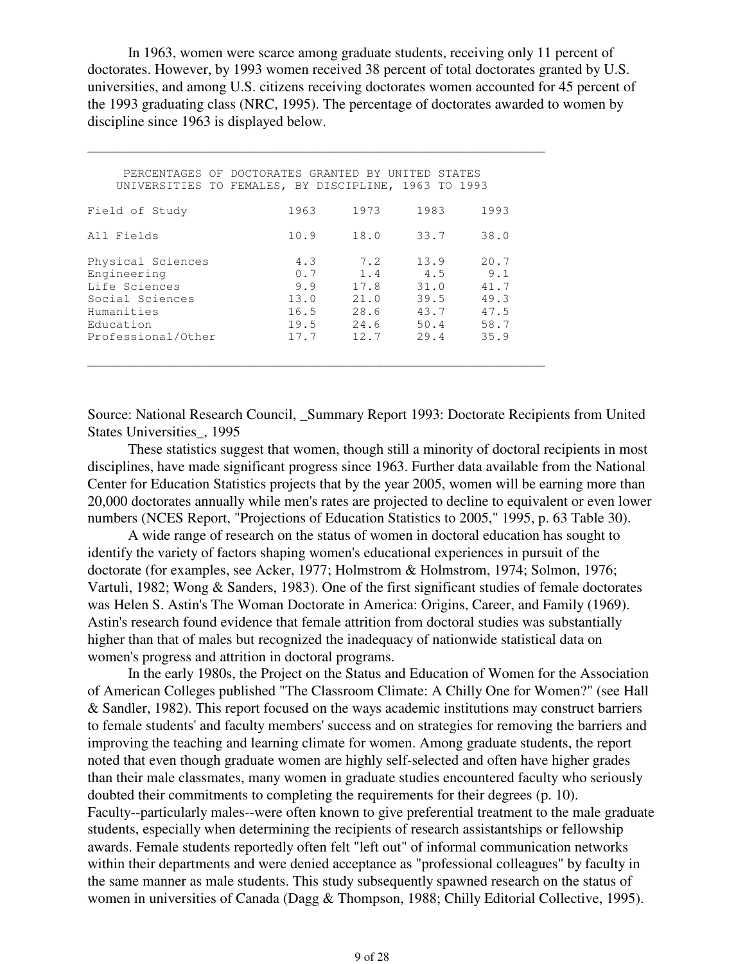In 1963, women were scarce among graduate students, receiving only 11 percent of doctorates. However, by 1993 women received 38 percent of total doctorates granted by U.S. universities, and among U.S. citizens receiving doctorates women accounted for 45 percent of the 1993 graduating class (NRC, 1995). The percentage of doctorates awarded to women by discipline since 1963 is displayed below.

|                                                                                                                       | PERCENTAGES OF DOCTORATES GRANTED BY UNITED<br>UNIVERSITIES TO FEMALES, BY DISCIPLINE, 1963 TO 1993 |                                                    | STATES                                              |                                                     |  |
|-----------------------------------------------------------------------------------------------------------------------|-----------------------------------------------------------------------------------------------------|----------------------------------------------------|-----------------------------------------------------|-----------------------------------------------------|--|
| Field of Study                                                                                                        | 1963                                                                                                | 1973                                               | 1983                                                | 1993                                                |  |
| All Fields                                                                                                            | 10.9                                                                                                | 18.0                                               | 33.7                                                | 38.0                                                |  |
| Physical Sciences<br>Engineering<br>Life Sciences<br>Social Sciences<br>Humanities<br>Education<br>Professional/Other | 4.3<br>0.7<br>9.9<br>13.0<br>16.5<br>19.5<br>17.7                                                   | 7.2<br>1.4<br>17.8<br>21.0<br>28.6<br>24.6<br>12.7 | 13.9<br>4.5<br>31.0<br>39.5<br>43.7<br>50.4<br>29.4 | 20.7<br>9.1<br>41.7<br>49.3<br>47.5<br>58.7<br>35.9 |  |

\_\_\_\_\_\_\_\_\_\_\_\_\_\_\_\_\_\_\_\_\_\_\_\_\_\_\_\_\_\_\_\_\_\_\_\_\_\_\_\_\_\_\_\_\_\_\_\_\_\_\_\_\_\_\_\_\_\_\_\_\_\_\_\_

Source: National Research Council, \_Summary Report 1993: Doctorate Recipients from United States Universities\_, 1995

 These statistics suggest that women, though still a minority of doctoral recipients in most disciplines, have made significant progress since 1963. Further data available from the National Center for Education Statistics projects that by the year 2005, women will be earning more than 20,000 doctorates annually while men's rates are projected to decline to equivalent or even lower numbers (NCES Report, "Projections of Education Statistics to 2005," 1995, p. 63 Table 30).

 A wide range of research on the status of women in doctoral education has sought to identify the variety of factors shaping women's educational experiences in pursuit of the doctorate (for examples, see Acker, 1977; Holmstrom & Holmstrom, 1974; Solmon, 1976; Vartuli, 1982; Wong & Sanders, 1983). One of the first significant studies of female doctorates was Helen S. Astin's The Woman Doctorate in America: Origins, Career, and Family (1969). Astin's research found evidence that female attrition from doctoral studies was substantially higher than that of males but recognized the inadequacy of nationwide statistical data on women's progress and attrition in doctoral programs.

 In the early 1980s, the Project on the Status and Education of Women for the Association of American Colleges published "The Classroom Climate: A Chilly One for Women?" (see Hall & Sandler, 1982). This report focused on the ways academic institutions may construct barriers to female students' and faculty members' success and on strategies for removing the barriers and improving the teaching and learning climate for women. Among graduate students, the report noted that even though graduate women are highly self-selected and often have higher grades than their male classmates, many women in graduate studies encountered faculty who seriously doubted their commitments to completing the requirements for their degrees (p. 10). Faculty--particularly males--were often known to give preferential treatment to the male graduate students, especially when determining the recipients of research assistantships or fellowship awards. Female students reportedly often felt "left out" of informal communication networks within their departments and were denied acceptance as "professional colleagues" by faculty in the same manner as male students. This study subsequently spawned research on the status of women in universities of Canada (Dagg & Thompson, 1988; Chilly Editorial Collective, 1995).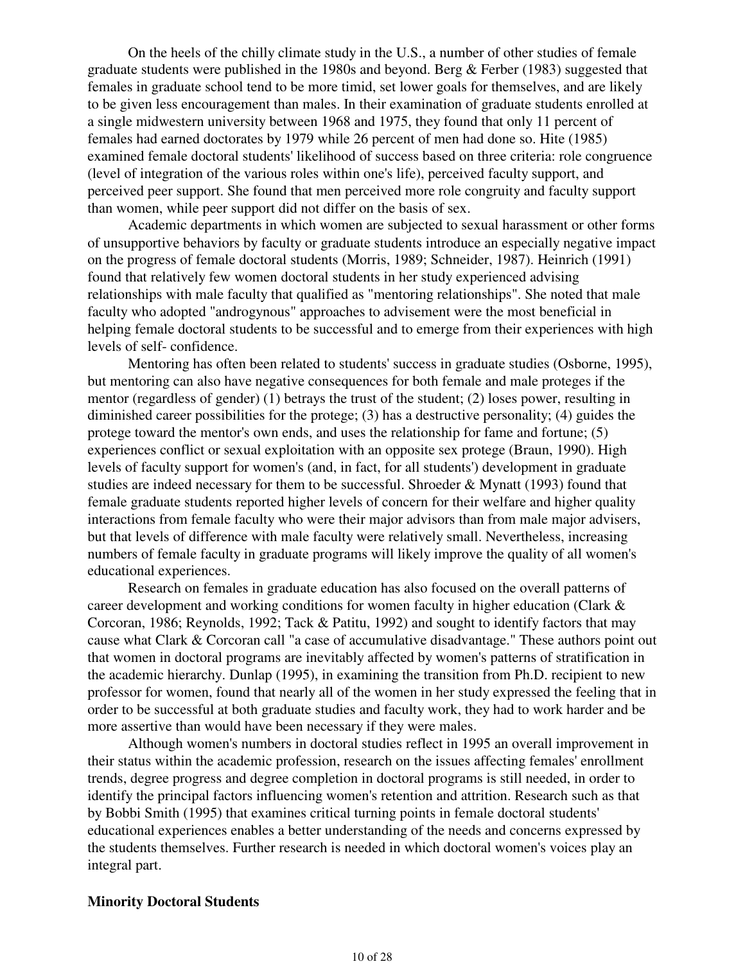On the heels of the chilly climate study in the U.S., a number of other studies of female graduate students were published in the 1980s and beyond. Berg & Ferber (1983) suggested that females in graduate school tend to be more timid, set lower goals for themselves, and are likely to be given less encouragement than males. In their examination of graduate students enrolled at a single midwestern university between 1968 and 1975, they found that only 11 percent of females had earned doctorates by 1979 while 26 percent of men had done so. Hite (1985) examined female doctoral students' likelihood of success based on three criteria: role congruence (level of integration of the various roles within one's life), perceived faculty support, and perceived peer support. She found that men perceived more role congruity and faculty support than women, while peer support did not differ on the basis of sex.

 Academic departments in which women are subjected to sexual harassment or other forms of unsupportive behaviors by faculty or graduate students introduce an especially negative impact on the progress of female doctoral students (Morris, 1989; Schneider, 1987). Heinrich (1991) found that relatively few women doctoral students in her study experienced advising relationships with male faculty that qualified as "mentoring relationships". She noted that male faculty who adopted "androgynous" approaches to advisement were the most beneficial in helping female doctoral students to be successful and to emerge from their experiences with high levels of self- confidence.

 Mentoring has often been related to students' success in graduate studies (Osborne, 1995), but mentoring can also have negative consequences for both female and male proteges if the mentor (regardless of gender) (1) betrays the trust of the student; (2) loses power, resulting in diminished career possibilities for the protege; (3) has a destructive personality; (4) guides the protege toward the mentor's own ends, and uses the relationship for fame and fortune; (5) experiences conflict or sexual exploitation with an opposite sex protege (Braun, 1990). High levels of faculty support for women's (and, in fact, for all students') development in graduate studies are indeed necessary for them to be successful. Shroeder & Mynatt (1993) found that female graduate students reported higher levels of concern for their welfare and higher quality interactions from female faculty who were their major advisors than from male major advisers, but that levels of difference with male faculty were relatively small. Nevertheless, increasing numbers of female faculty in graduate programs will likely improve the quality of all women's educational experiences.

 Research on females in graduate education has also focused on the overall patterns of career development and working conditions for women faculty in higher education (Clark & Corcoran, 1986; Reynolds, 1992; Tack & Patitu, 1992) and sought to identify factors that may cause what Clark & Corcoran call "a case of accumulative disadvantage." These authors point out that women in doctoral programs are inevitably affected by women's patterns of stratification in the academic hierarchy. Dunlap (1995), in examining the transition from Ph.D. recipient to new professor for women, found that nearly all of the women in her study expressed the feeling that in order to be successful at both graduate studies and faculty work, they had to work harder and be more assertive than would have been necessary if they were males.

 Although women's numbers in doctoral studies reflect in 1995 an overall improvement in their status within the academic profession, research on the issues affecting females' enrollment trends, degree progress and degree completion in doctoral programs is still needed, in order to identify the principal factors influencing women's retention and attrition. Research such as that by Bobbi Smith (1995) that examines critical turning points in female doctoral students' educational experiences enables a better understanding of the needs and concerns expressed by the students themselves. Further research is needed in which doctoral women's voices play an integral part.

#### **Minority Doctoral Students**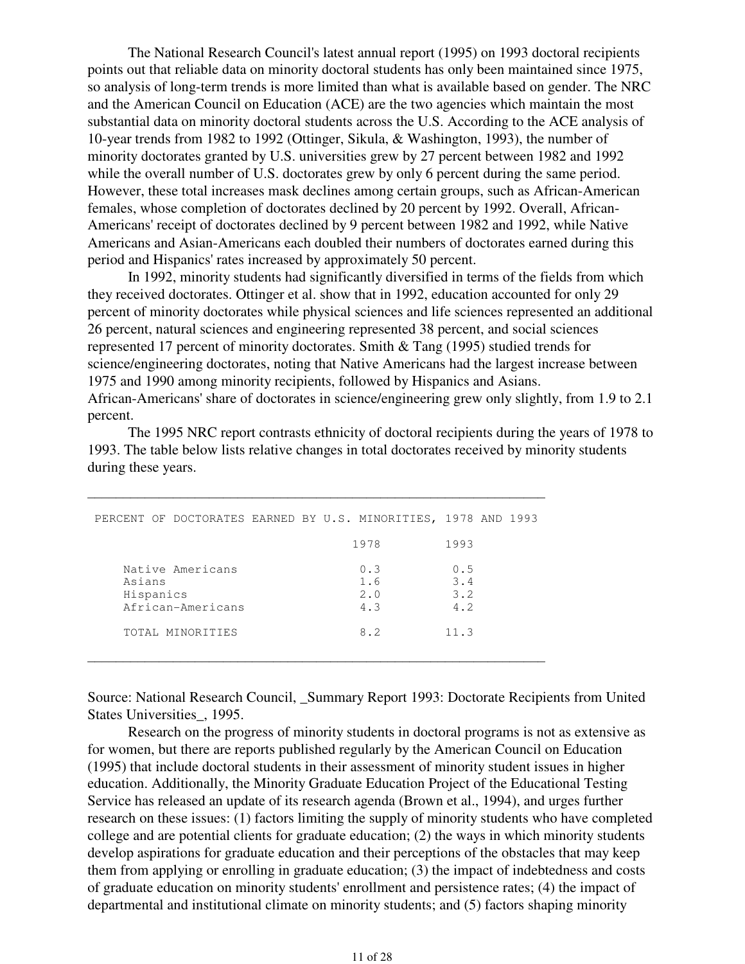The National Research Council's latest annual report (1995) on 1993 doctoral recipients points out that reliable data on minority doctoral students has only been maintained since 1975, so analysis of long-term trends is more limited than what is available based on gender. The NRC and the American Council on Education (ACE) are the two agencies which maintain the most substantial data on minority doctoral students across the U.S. According to the ACE analysis of 10-year trends from 1982 to 1992 (Ottinger, Sikula, & Washington, 1993), the number of minority doctorates granted by U.S. universities grew by 27 percent between 1982 and 1992 while the overall number of U.S. doctorates grew by only 6 percent during the same period. However, these total increases mask declines among certain groups, such as African-American females, whose completion of doctorates declined by 20 percent by 1992. Overall, African-Americans' receipt of doctorates declined by 9 percent between 1982 and 1992, while Native Americans and Asian-Americans each doubled their numbers of doctorates earned during this period and Hispanics' rates increased by approximately 50 percent.

 In 1992, minority students had significantly diversified in terms of the fields from which they received doctorates. Ottinger et al. show that in 1992, education accounted for only 29 percent of minority doctorates while physical sciences and life sciences represented an additional 26 percent, natural sciences and engineering represented 38 percent, and social sciences represented 17 percent of minority doctorates. Smith & Tang (1995) studied trends for science/engineering doctorates, noting that Native Americans had the largest increase between 1975 and 1990 among minority recipients, followed by Hispanics and Asians. African-Americans' share of doctorates in science/engineering grew only slightly, from 1.9 to 2.1 percent.

 The 1995 NRC report contrasts ethnicity of doctoral recipients during the years of 1978 to 1993. The table below lists relative changes in total doctorates received by minority students during these years.

| PERCENT OF DOCTORATES EARNED BY U.S. MINORITIES, 1978 AND 1993 |                          |                          |
|----------------------------------------------------------------|--------------------------|--------------------------|
|                                                                | 1978                     | 1993                     |
| Native Americans<br>Asians<br>Hispanics<br>African-Americans   | 0.3<br>1.6<br>2.0<br>4.3 | 0.5<br>3.4<br>3.2<br>4.2 |
| TOTAL MINORITIES                                               | 8.2                      | 11.3                     |

\_\_\_\_\_\_\_\_\_\_\_\_\_\_\_\_\_\_\_\_\_\_\_\_\_\_\_\_\_\_\_\_\_\_\_\_\_\_\_\_\_\_\_\_\_\_\_\_\_\_\_\_\_\_\_\_\_\_\_\_\_\_\_\_

Source: National Research Council, Summary Report 1993: Doctorate Recipients from United States Universities\_, 1995.

 Research on the progress of minority students in doctoral programs is not as extensive as for women, but there are reports published regularly by the American Council on Education (1995) that include doctoral students in their assessment of minority student issues in higher education. Additionally, the Minority Graduate Education Project of the Educational Testing Service has released an update of its research agenda (Brown et al., 1994), and urges further research on these issues: (1) factors limiting the supply of minority students who have completed college and are potential clients for graduate education; (2) the ways in which minority students develop aspirations for graduate education and their perceptions of the obstacles that may keep them from applying or enrolling in graduate education; (3) the impact of indebtedness and costs of graduate education on minority students' enrollment and persistence rates; (4) the impact of departmental and institutional climate on minority students; and (5) factors shaping minority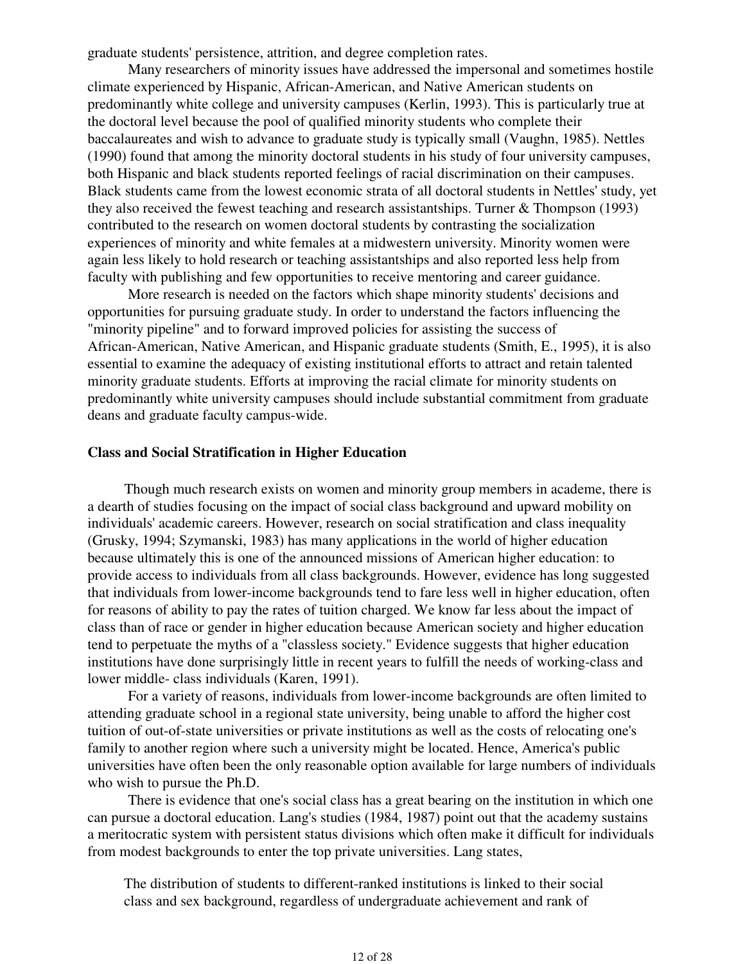graduate students' persistence, attrition, and degree completion rates.

 Many researchers of minority issues have addressed the impersonal and sometimes hostile climate experienced by Hispanic, African-American, and Native American students on predominantly white college and university campuses (Kerlin, 1993). This is particularly true at the doctoral level because the pool of qualified minority students who complete their baccalaureates and wish to advance to graduate study is typically small (Vaughn, 1985). Nettles (1990) found that among the minority doctoral students in his study of four university campuses, both Hispanic and black students reported feelings of racial discrimination on their campuses. Black students came from the lowest economic strata of all doctoral students in Nettles' study, yet they also received the fewest teaching and research assistantships. Turner & Thompson (1993) contributed to the research on women doctoral students by contrasting the socialization experiences of minority and white females at a midwestern university. Minority women were again less likely to hold research or teaching assistantships and also reported less help from faculty with publishing and few opportunities to receive mentoring and career guidance.

 More research is needed on the factors which shape minority students' decisions and opportunities for pursuing graduate study. In order to understand the factors influencing the "minority pipeline" and to forward improved policies for assisting the success of African-American, Native American, and Hispanic graduate students (Smith, E., 1995), it is also essential to examine the adequacy of existing institutional efforts to attract and retain talented minority graduate students. Efforts at improving the racial climate for minority students on predominantly white university campuses should include substantial commitment from graduate deans and graduate faculty campus-wide.

#### **Class and Social Stratification in Higher Education**

Though much research exists on women and minority group members in academe, there is a dearth of studies focusing on the impact of social class background and upward mobility on individuals' academic careers. However, research on social stratification and class inequality (Grusky, 1994; Szymanski, 1983) has many applications in the world of higher education because ultimately this is one of the announced missions of American higher education: to provide access to individuals from all class backgrounds. However, evidence has long suggested that individuals from lower-income backgrounds tend to fare less well in higher education, often for reasons of ability to pay the rates of tuition charged. We know far less about the impact of class than of race or gender in higher education because American society and higher education tend to perpetuate the myths of a "classless society." Evidence suggests that higher education institutions have done surprisingly little in recent years to fulfill the needs of working-class and lower middle- class individuals (Karen, 1991).

 For a variety of reasons, individuals from lower-income backgrounds are often limited to attending graduate school in a regional state university, being unable to afford the higher cost tuition of out-of-state universities or private institutions as well as the costs of relocating one's family to another region where such a university might be located. Hence, America's public universities have often been the only reasonable option available for large numbers of individuals who wish to pursue the Ph.D.

 There is evidence that one's social class has a great bearing on the institution in which one can pursue a doctoral education. Lang's studies (1984, 1987) point out that the academy sustains a meritocratic system with persistent status divisions which often make it difficult for individuals from modest backgrounds to enter the top private universities. Lang states,

The distribution of students to different-ranked institutions is linked to their social class and sex background, regardless of undergraduate achievement and rank of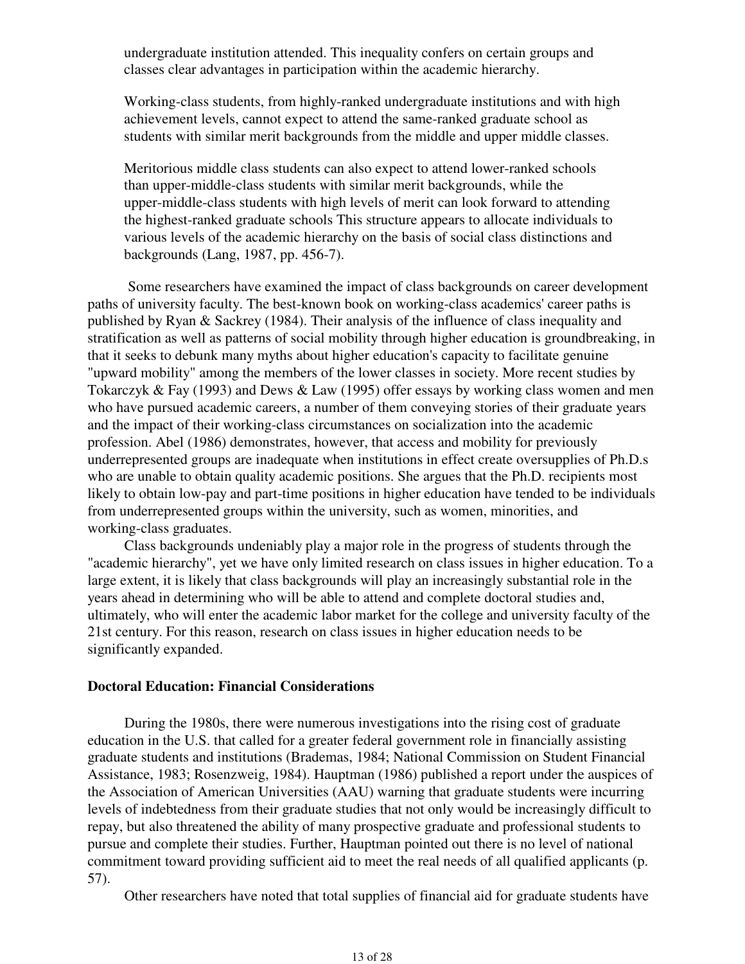undergraduate institution attended. This inequality confers on certain groups and classes clear advantages in participation within the academic hierarchy.

Working-class students, from highly-ranked undergraduate institutions and with high achievement levels, cannot expect to attend the same-ranked graduate school as students with similar merit backgrounds from the middle and upper middle classes.

Meritorious middle class students can also expect to attend lower-ranked schools than upper-middle-class students with similar merit backgrounds, while the upper-middle-class students with high levels of merit can look forward to attending the highest-ranked graduate schools This structure appears to allocate individuals to various levels of the academic hierarchy on the basis of social class distinctions and backgrounds (Lang, 1987, pp. 456-7).

 Some researchers have examined the impact of class backgrounds on career development paths of university faculty. The best-known book on working-class academics' career paths is published by Ryan & Sackrey (1984). Their analysis of the influence of class inequality and stratification as well as patterns of social mobility through higher education is groundbreaking, in that it seeks to debunk many myths about higher education's capacity to facilitate genuine "upward mobility" among the members of the lower classes in society. More recent studies by Tokarczyk & Fay (1993) and Dews & Law (1995) offer essays by working class women and men who have pursued academic careers, a number of them conveying stories of their graduate years and the impact of their working-class circumstances on socialization into the academic profession. Abel (1986) demonstrates, however, that access and mobility for previously underrepresented groups are inadequate when institutions in effect create oversupplies of Ph.D.s who are unable to obtain quality academic positions. She argues that the Ph.D. recipients most likely to obtain low-pay and part-time positions in higher education have tended to be individuals from underrepresented groups within the university, such as women, minorities, and working-class graduates.

Class backgrounds undeniably play a major role in the progress of students through the "academic hierarchy", yet we have only limited research on class issues in higher education. To a large extent, it is likely that class backgrounds will play an increasingly substantial role in the years ahead in determining who will be able to attend and complete doctoral studies and, ultimately, who will enter the academic labor market for the college and university faculty of the 21st century. For this reason, research on class issues in higher education needs to be significantly expanded.

#### **Doctoral Education: Financial Considerations**

During the 1980s, there were numerous investigations into the rising cost of graduate education in the U.S. that called for a greater federal government role in financially assisting graduate students and institutions (Brademas, 1984; National Commission on Student Financial Assistance, 1983; Rosenzweig, 1984). Hauptman (1986) published a report under the auspices of the Association of American Universities (AAU) warning that graduate students were incurring levels of indebtedness from their graduate studies that not only would be increasingly difficult to repay, but also threatened the ability of many prospective graduate and professional students to pursue and complete their studies. Further, Hauptman pointed out there is no level of national commitment toward providing sufficient aid to meet the real needs of all qualified applicants (p. 57).

Other researchers have noted that total supplies of financial aid for graduate students have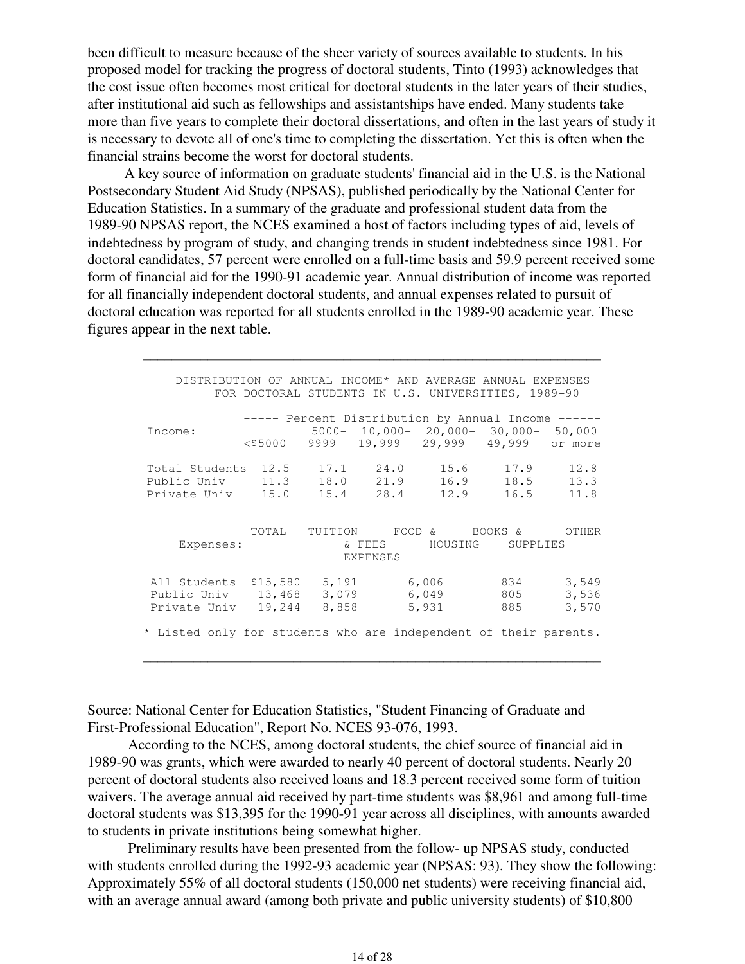been difficult to measure because of the sheer variety of sources available to students. In his proposed model for tracking the progress of doctoral students, Tinto (1993) acknowledges that the cost issue often becomes most critical for doctoral students in the later years of their studies, after institutional aid such as fellowships and assistantships have ended. Many students take more than five years to complete their doctoral dissertations, and often in the last years of study it is necessary to devote all of one's time to completing the dissertation. Yet this is often when the financial strains become the worst for doctoral students.

A key source of information on graduate students' financial aid in the U.S. is the National Postsecondary Student Aid Study (NPSAS), published periodically by the National Center for Education Statistics. In a summary of the graduate and professional student data from the 1989-90 NPSAS report, the NCES examined a host of factors including types of aid, levels of indebtedness by program of study, and changing trends in student indebtedness since 1981. For doctoral candidates, 57 percent were enrolled on a full-time basis and 59.9 percent received some form of financial aid for the 1990-91 academic year. Annual distribution of income was reported for all financially independent doctoral students, and annual expenses related to pursuit of doctoral education was reported for all students enrolled in the 1989-90 academic year. These figures appear in the next table.

 $\mathcal{L}_\mathcal{L}$  , and the set of the set of the set of the set of the set of the set of the set of the set of the set of the set of the set of the set of the set of the set of the set of the set of the set of the set of th

| DISTRIBUTION OF ANNUAL INCOME* AND AVERAGE ANNUAL EXPENSES                                   | FOR DOCTORAL STUDENTS IN U.S. UNIVERSITIES, 1989-90                                              |       |                            |                                            |                   |                         |
|----------------------------------------------------------------------------------------------|--------------------------------------------------------------------------------------------------|-------|----------------------------|--------------------------------------------|-------------------|-------------------------|
| Income:                                                                                      | ----- Percent Distribution by Annual Income ------<br>$\langle$ \$5000 9999 19,999 29,999 49,999 |       |                            | $5000 - 10,000 - 20,000 - 30,000 - 50,000$ |                   | or more                 |
| Total Students 12.5    17.1    24.0    15.6    17.9<br>Public Univ 11.3<br>Private Univ 15.0 |                                                                                                  |       | 18.0 21.9<br>$15.4$ $28.4$ | 12.9                                       | 16.9 18.5<br>16.5 | 12.8<br>13.3<br>11.8    |
| Expenses:                                                                                    |                                                                                                  |       | & FEES<br><b>EXPENSES</b>  | TOTAL TUITION FOOD & BOOKS &               | HOUSING SUPPLIES  | OTHER                   |
| All Students \$15,580 5,191<br>Public Univ 13,468<br>Private Univ 19,244                     |                                                                                                  | 8,858 |                            | 6,006 834<br>3,079 6,049<br>5,931          | 805<br>885        | 3,549<br>3,536<br>3,570 |
| * Listed only for students who are independent of their parents.                             |                                                                                                  |       |                            |                                            |                   |                         |

Source: National Center for Education Statistics, "Student Financing of Graduate and First-Professional Education", Report No. NCES 93-076, 1993.

 According to the NCES, among doctoral students, the chief source of financial aid in 1989-90 was grants, which were awarded to nearly 40 percent of doctoral students. Nearly 20 percent of doctoral students also received loans and 18.3 percent received some form of tuition waivers. The average annual aid received by part-time students was \$8,961 and among full-time doctoral students was \$13,395 for the 1990-91 year across all disciplines, with amounts awarded to students in private institutions being somewhat higher.

 $\mathcal{L}_\mathcal{L}$  , and the set of the set of the set of the set of the set of the set of the set of the set of the set of the set of the set of the set of the set of the set of the set of the set of the set of the set of th

 Preliminary results have been presented from the follow- up NPSAS study, conducted with students enrolled during the 1992-93 academic year (NPSAS: 93). They show the following: Approximately 55% of all doctoral students (150,000 net students) were receiving financial aid, with an average annual award (among both private and public university students) of \$10,800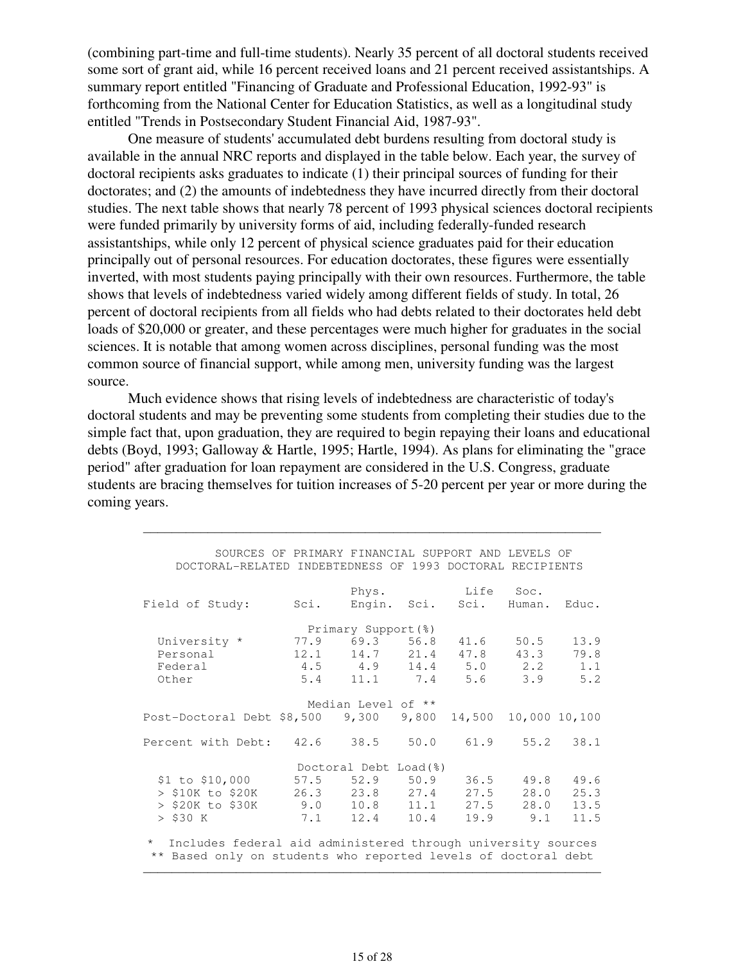(combining part-time and full-time students). Nearly 35 percent of all doctoral students received some sort of grant aid, while 16 percent received loans and 21 percent received assistantships. A summary report entitled "Financing of Graduate and Professional Education, 1992-93" is forthcoming from the National Center for Education Statistics, as well as a longitudinal study entitled "Trends in Postsecondary Student Financial Aid, 1987-93".

 One measure of students' accumulated debt burdens resulting from doctoral study is available in the annual NRC reports and displayed in the table below. Each year, the survey of doctoral recipients asks graduates to indicate (1) their principal sources of funding for their doctorates; and (2) the amounts of indebtedness they have incurred directly from their doctoral studies. The next table shows that nearly 78 percent of 1993 physical sciences doctoral recipients were funded primarily by university forms of aid, including federally-funded research assistantships, while only 12 percent of physical science graduates paid for their education principally out of personal resources. For education doctorates, these figures were essentially inverted, with most students paying principally with their own resources. Furthermore, the table shows that levels of indebtedness varied widely among different fields of study. In total, 26 percent of doctoral recipients from all fields who had debts related to their doctorates held debt loads of \$20,000 or greater, and these percentages were much higher for graduates in the social sciences. It is notable that among women across disciplines, personal funding was the most common source of financial support, while among men, university funding was the largest source.

 Much evidence shows that rising levels of indebtedness are characteristic of today's doctoral students and may be preventing some students from completing their studies due to the simple fact that, upon graduation, they are required to begin repaying their loans and educational debts (Boyd, 1993; Galloway & Hartle, 1995; Hartle, 1994). As plans for eliminating the "grace period" after graduation for loan repayment are considered in the U.S. Congress, graduate students are bracing themselves for tuition increases of 5-20 percent per year or more during the coming years.

 $\mathcal{L}_\mathcal{L}$  , and the set of the set of the set of the set of the set of the set of the set of the set of the set of the set of the set of the set of the set of the set of the set of the set of the set of the set of th

| SOURCES OF PRIMARY FINANCIAL SUPPORT AND LEVELS OF                      |                                           |                       |       |                              |               |       |
|-------------------------------------------------------------------------|-------------------------------------------|-----------------------|-------|------------------------------|---------------|-------|
| DOCTORAL-RELATED INDEBTEDNESS OF 1993 DOCTORAL RECIPIENTS               |                                           |                       |       |                              |               |       |
|                                                                         |                                           |                       |       |                              |               |       |
|                                                                         |                                           |                       |       | Phys. Life Soc.              |               |       |
| Field of Study:                                                         |                                           |                       |       | Sci. Engin. Sci. Sci. Human. |               | Educ. |
|                                                                         | Primary Support(%)                        |                       |       |                              |               |       |
| University * 77.9 69.3 56.8 41.6                                        |                                           |                       |       |                              | 50.5          | 13.9  |
| Personal                                                                | $12.1$ $14.7$ $21.4$ $47.8$ $43.3$ $79.8$ |                       |       |                              |               |       |
| Federal                                                                 | 4.5 4.9 14.4 5.0 2.2 1.1                  |                       |       |                              |               |       |
| Other                                                                   |                                           |                       |       | 5.4 11.1 7.4 5.6 3.9 5.2     |               |       |
|                                                                         |                                           |                       |       |                              |               |       |
|                                                                         |                                           | Median Level of **    |       |                              |               |       |
| Post-Doctoral Debt $$8,500$ 9,300                                       |                                           |                       | 9,800 | 14,500 10,000 10,100         |               |       |
| Percent with Debt: 42.6 38.5 50.0 61.9 55.2 38.1                        |                                           |                       |       |                              |               |       |
|                                                                         |                                           | Doctoral Debt Load(%) |       |                              |               |       |
| \$1 to \$10,000 57.5 52.9 50.9                                          |                                           |                       |       |                              | $36.5$ $49.8$ | 49.6  |
| > \$10K to \$20K      26.3     23.8    27.4    27.5    28.0             |                                           |                       |       |                              |               | 25.3  |
| $>$ \$20K to \$30K 9.0 10.8 11.1 27.5 28.0 13.5                         |                                           |                       |       |                              |               |       |
| $>$ \$30 K                                                              | 7.1 12.4 10.4                             |                       |       |                              | $19.9$ $9.1$  | 11.5  |
| $\star$<br>Includes federal aid administered through university sources |                                           |                       |       |                              |               |       |
| ** Based only on students who reported levels of doctoral debt          |                                           |                       |       |                              |               |       |

 $\mathcal{L}_\mathcal{L}$  , and the set of the set of the set of the set of the set of the set of the set of the set of the set of the set of the set of the set of the set of the set of the set of the set of the set of the set of th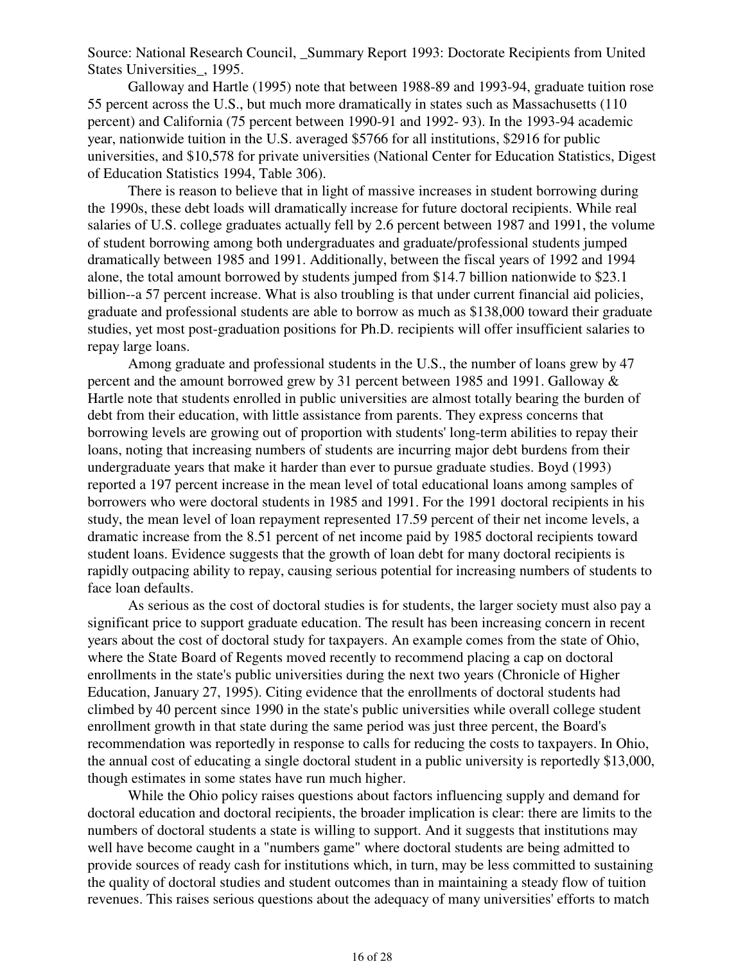Source: National Research Council, \_Summary Report 1993: Doctorate Recipients from United States Universities\_, 1995.

 Galloway and Hartle (1995) note that between 1988-89 and 1993-94, graduate tuition rose 55 percent across the U.S., but much more dramatically in states such as Massachusetts (110 percent) and California (75 percent between 1990-91 and 1992- 93). In the 1993-94 academic year, nationwide tuition in the U.S. averaged \$5766 for all institutions, \$2916 for public universities, and \$10,578 for private universities (National Center for Education Statistics, Digest of Education Statistics 1994, Table 306).

 There is reason to believe that in light of massive increases in student borrowing during the 1990s, these debt loads will dramatically increase for future doctoral recipients. While real salaries of U.S. college graduates actually fell by 2.6 percent between 1987 and 1991, the volume of student borrowing among both undergraduates and graduate/professional students jumped dramatically between 1985 and 1991. Additionally, between the fiscal years of 1992 and 1994 alone, the total amount borrowed by students jumped from \$14.7 billion nationwide to \$23.1 billion--a 57 percent increase. What is also troubling is that under current financial aid policies, graduate and professional students are able to borrow as much as \$138,000 toward their graduate studies, yet most post-graduation positions for Ph.D. recipients will offer insufficient salaries to repay large loans.

 Among graduate and professional students in the U.S., the number of loans grew by 47 percent and the amount borrowed grew by 31 percent between 1985 and 1991. Galloway & Hartle note that students enrolled in public universities are almost totally bearing the burden of debt from their education, with little assistance from parents. They express concerns that borrowing levels are growing out of proportion with students' long-term abilities to repay their loans, noting that increasing numbers of students are incurring major debt burdens from their undergraduate years that make it harder than ever to pursue graduate studies. Boyd (1993) reported a 197 percent increase in the mean level of total educational loans among samples of borrowers who were doctoral students in 1985 and 1991. For the 1991 doctoral recipients in his study, the mean level of loan repayment represented 17.59 percent of their net income levels, a dramatic increase from the 8.51 percent of net income paid by 1985 doctoral recipients toward student loans. Evidence suggests that the growth of loan debt for many doctoral recipients is rapidly outpacing ability to repay, causing serious potential for increasing numbers of students to face loan defaults.

 As serious as the cost of doctoral studies is for students, the larger society must also pay a significant price to support graduate education. The result has been increasing concern in recent years about the cost of doctoral study for taxpayers. An example comes from the state of Ohio, where the State Board of Regents moved recently to recommend placing a cap on doctoral enrollments in the state's public universities during the next two years (Chronicle of Higher Education, January 27, 1995). Citing evidence that the enrollments of doctoral students had climbed by 40 percent since 1990 in the state's public universities while overall college student enrollment growth in that state during the same period was just three percent, the Board's recommendation was reportedly in response to calls for reducing the costs to taxpayers. In Ohio, the annual cost of educating a single doctoral student in a public university is reportedly \$13,000, though estimates in some states have run much higher.

 While the Ohio policy raises questions about factors influencing supply and demand for doctoral education and doctoral recipients, the broader implication is clear: there are limits to the numbers of doctoral students a state is willing to support. And it suggests that institutions may well have become caught in a "numbers game" where doctoral students are being admitted to provide sources of ready cash for institutions which, in turn, may be less committed to sustaining the quality of doctoral studies and student outcomes than in maintaining a steady flow of tuition revenues. This raises serious questions about the adequacy of many universities' efforts to match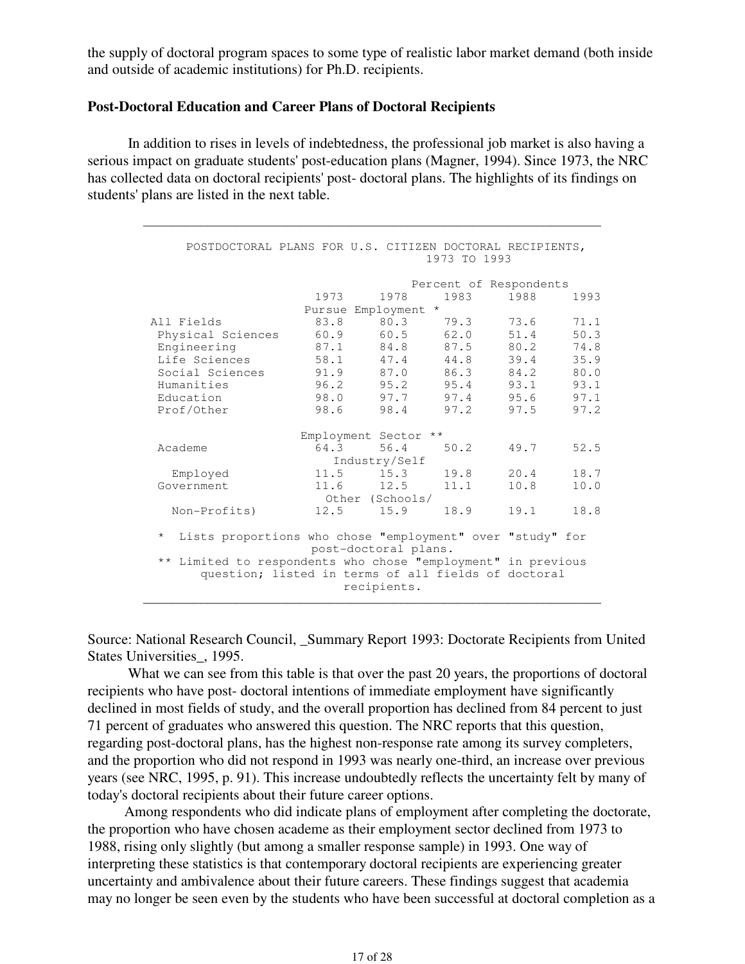the supply of doctoral program spaces to some type of realistic labor market demand (both inside and outside of academic institutions) for Ph.D. recipients.

#### **Post-Doctoral Education and Career Plans of Doctoral Recipients**

 In addition to rises in levels of indebtedness, the professional job market is also having a serious impact on graduate students' post-education plans (Magner, 1994). Since 1973, the NRC has collected data on doctoral recipients' post- doctoral plans. The highlights of its findings on students' plans are listed in the next table.

 $\mathcal{L}_\mathcal{L}$  , and the set of the set of the set of the set of the set of the set of the set of the set of the set of the set of the set of the set of the set of the set of the set of the set of the set of the set of th

| POSTDOCTORAL PLANS FOR U.S. CITIZEN DOCTORAL RECIPIENTS,                  |              |                      | 1973 TO 1993           |              |              |
|---------------------------------------------------------------------------|--------------|----------------------|------------------------|--------------|--------------|
|                                                                           |              |                      | Percent of Respondents |              |              |
|                                                                           | 1973         | 1978                 | 1983                   | 1988         | 1993         |
|                                                                           |              | Pursue Employment    | $\star$                |              |              |
| All Fields                                                                | 83.8         | 80.3                 | 79.3                   | 73.6         | 71.1         |
| Physical Sciences                                                         | 60.9         | 60.5                 | 62.0                   | 51.4         | 50.3         |
| Engineering                                                               | 87.1         | 84.8                 | 87.5                   | 80.2         | 74.8         |
| Life Sciences                                                             | 58.1         |                      | 47.4 44.8              | 39.4         | 35.9         |
| Social Sciences                                                           | 91.9         | 87.0                 | 86.3                   | 84.2         | 80.0         |
| Humanities                                                                | 96.2         | 95.2                 | 95.4                   | 93.1         | 93.1         |
| Education                                                                 | 98.0         | 97.7                 | 97.4                   | 95.6         | 97.1         |
| Prof/Other                                                                | 98.6         | 98.4                 | 97.2                   | 97.5         | 97.2         |
|                                                                           |              |                      |                        |              |              |
|                                                                           |              | Employment Sector ** |                        |              |              |
| Academe                                                                   | 64.3         | 56.4                 | 50.2                   | 49.7         | 52.5         |
|                                                                           |              | Industry/Self        |                        |              |              |
| Employed<br>Government                                                    | 11.5<br>11.6 | 15.3<br>12.5         | 19.8<br>11.1           | 20.4<br>10.8 | 18.7<br>10.0 |
|                                                                           |              | Other (Schools/      |                        |              |              |
| Non-Profits)                                                              | 12.5         | 15.9                 | 18.9                   | 19.1         | 18.8         |
|                                                                           |              |                      |                        |              |              |
| $^\star$<br>Lists proportions who chose "employment" over "study" for     |              | post-doctoral plans. |                        |              |              |
| Limited to respondents who chose "employment" in previous<br>$\star\star$ |              |                      |                        |              |              |
| question; listed in terms of all fields of doctoral                       |              |                      |                        |              |              |
|                                                                           |              | recipients.          |                        |              |              |
|                                                                           |              |                      |                        |              |              |

Source: National Research Council, Summary Report 1993: Doctorate Recipients from United States Universities\_, 1995.

What we can see from this table is that over the past 20 years, the proportions of doctoral recipients who have post- doctoral intentions of immediate employment have significantly declined in most fields of study, and the overall proportion has declined from 84 percent to just 71 percent of graduates who answered this question. The NRC reports that this question, regarding post-doctoral plans, has the highest non-response rate among its survey completers, and the proportion who did not respond in 1993 was nearly one-third, an increase over previous years (see NRC, 1995, p. 91). This increase undoubtedly reflects the uncertainty felt by many of today's doctoral recipients about their future career options.

Among respondents who did indicate plans of employment after completing the doctorate, the proportion who have chosen academe as their employment sector declined from 1973 to 1988, rising only slightly (but among a smaller response sample) in 1993. One way of interpreting these statistics is that contemporary doctoral recipients are experiencing greater uncertainty and ambivalence about their future careers. These findings suggest that academia may no longer be seen even by the students who have been successful at doctoral completion as a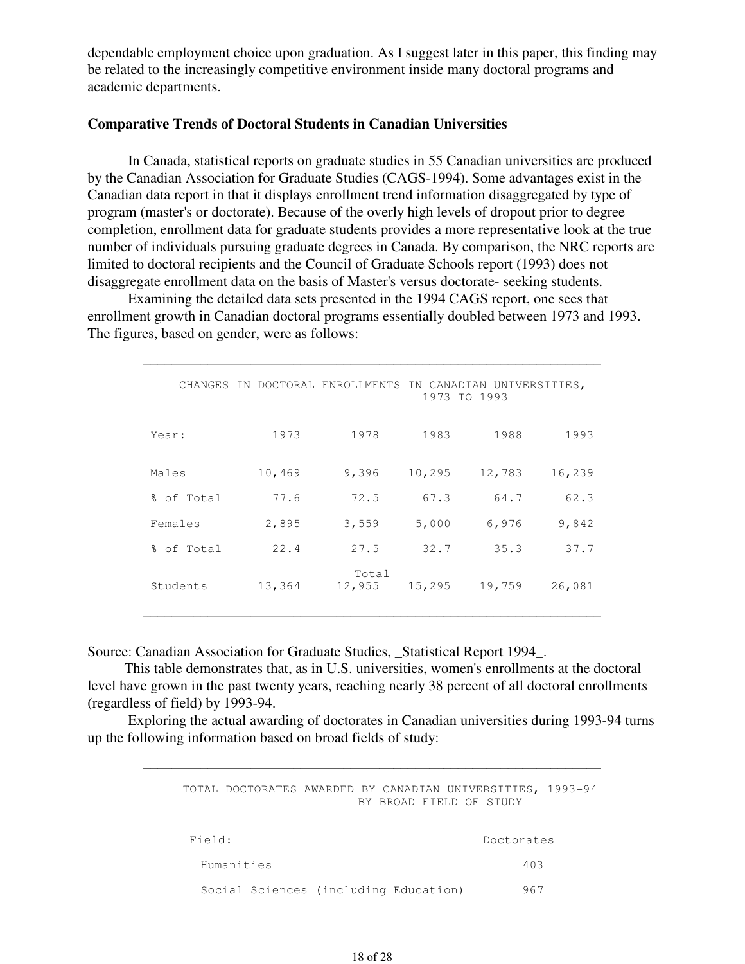dependable employment choice upon graduation. As I suggest later in this paper, this finding may be related to the increasingly competitive environment inside many doctoral programs and academic departments.

#### **Comparative Trends of Doctoral Students in Canadian Universities**

 In Canada, statistical reports on graduate studies in 55 Canadian universities are produced by the Canadian Association for Graduate Studies (CAGS-1994). Some advantages exist in the Canadian data report in that it displays enrollment trend information disaggregated by type of program (master's or doctorate). Because of the overly high levels of dropout prior to degree completion, enrollment data for graduate students provides a more representative look at the true number of individuals pursuing graduate degrees in Canada. By comparison, the NRC reports are limited to doctoral recipients and the Council of Graduate Schools report (1993) does not disaggregate enrollment data on the basis of Master's versus doctorate- seeking students.

 Examining the detailed data sets presented in the 1994 CAGS report, one sees that enrollment growth in Canadian doctoral programs essentially doubled between 1973 and 1993. The figures, based on gender, were as follows:

 $\mathcal{L}_\mathcal{L}$  , and the set of the set of the set of the set of the set of the set of the set of the set of the set of the set of the set of the set of the set of the set of the set of the set of the set of the set of th

|            |  |        | CHANGES IN DOCTORAL ENROLLMENTS IN CANADIAN UNIVERSITIES, |        | 1973 TO 1993 |        |
|------------|--|--------|-----------------------------------------------------------|--------|--------------|--------|
| Year:      |  | 1973   | 1978                                                      | 1983   | 1988         | 1993   |
| Males      |  | 10,469 | 9,396                                                     | 10,295 | 12,783       | 16,239 |
| % of Total |  | 77.6   | 72.5                                                      | 67.3   | 64.7         | 62.3   |
| Females    |  | 2,895  | 3,559                                                     | 5,000  | 6,976        | 9,842  |
| % of Total |  | 22.4   | 27.5                                                      | 32.7   | 35.3         | 37.7   |
| Students   |  | 13,364 | Total<br>12,955                                           | 15,295 | 19,759       | 26,081 |

Source: Canadian Association for Graduate Studies, Statistical Report 1994.

This table demonstrates that, as in U.S. universities, women's enrollments at the doctoral level have grown in the past twenty years, reaching nearly 38 percent of all doctoral enrollments (regardless of field) by 1993-94.

 Exploring the actual awarding of doctorates in Canadian universities during 1993-94 turns up the following information based on broad fields of study:

 $\mathcal{L}_\mathcal{L}$  , and the set of the set of the set of the set of the set of the set of the set of the set of the set of the set of the set of the set of the set of the set of the set of the set of the set of the set of th

|            | TOTAL DOCTORATES AWARDED BY CANADIAN UNIVERSITIES, 1993-94 |  |  | BY BROAD FIELD OF STUDY |     |  |
|------------|------------------------------------------------------------|--|--|-------------------------|-----|--|
| Field:     |                                                            |  |  | Doctorates              |     |  |
| Humanities |                                                            |  |  |                         | 403 |  |
|            | Social Sciences (including Education)                      |  |  |                         | 967 |  |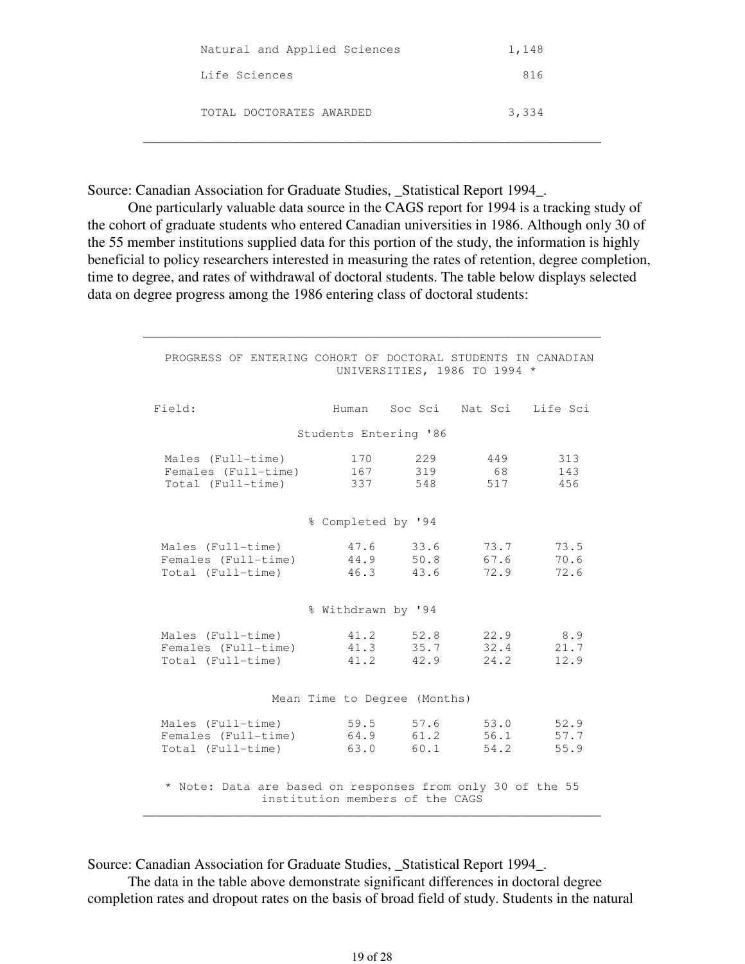| Natural and Applied Sciences | 1,148 |
|------------------------------|-------|
| Life Sciences                | 816   |
| TOTAL DOCTORATES AWARDED     | 3,334 |

Source: Canadian Association for Graduate Studies, \_Statistical Report 1994\_.

 One particularly valuable data source in the CAGS report for 1994 is a tracking study of the cohort of graduate students who entered Canadian universities in 1986. Although only 30 of the 55 member institutions supplied data for this portion of the study, the information is highly beneficial to policy researchers interested in measuring the rates of retention, degree completion, time to degree, and rates of withdrawal of doctoral students. The table below displays selected data on degree progress among the 1986 entering class of doctoral students:

 $\mathcal{L}_\mathcal{L}$  , and the set of the set of the set of the set of the set of the set of the set of the set of the set of the set of the set of the set of the set of the set of the set of the set of the set of the set of th

| PROGRESS OF ENTERING COHORT OF DOCTORAL STUDENTS IN CANADIAN<br>UNIVERSITIES, 1986 TO 1994 *  |                    |                                |                  |                          |
|-----------------------------------------------------------------------------------------------|--------------------|--------------------------------|------------------|--------------------------|
| Field:                                                                                        |                    | Human Soc Sci Nat Sci Life Sci |                  |                          |
|                                                                                               |                    | Students Entering '86          |                  |                          |
| Males (Full-time)<br>Females (Full-time) 167<br>Total (Full-time)                             | 337                | 170 229<br>319<br>548          | 449<br>68<br>517 | 313<br>143<br>456        |
|                                                                                               | % Completed by '94 |                                |                  |                          |
| Males (Full-time)<br>Females (Full-time) 44.9 50.8<br>Total (Full-time)                       |                    | 47.6 33.6<br>46.3 43.6 72.9    | 73.7<br>67.6     | 73.5<br>70.6<br>72.6     |
|                                                                                               | % Withdrawn by '94 |                                |                  |                          |
| Males (Full-time)<br>Females (Full-time)<br>Total (Full-time)                                 | 41.3<br>41.2       | 41.2 52.8<br>35.7<br>42.9      | 32.4<br>24.2     | 22.9 8.9<br>21.7<br>12.9 |
|                                                                                               |                    | Mean Time to Degree (Months)   |                  |                          |
| Males (Full-time)<br>Females (Full-time)<br>Total (Full-time)                                 | 64.9<br>63.0       | 59.5 57.6 53.0<br>61.2<br>60.1 | 56.1<br>54.2     | 52.9<br>57.7<br>55.9     |
| * Note: Data are based on responses from only 30 of the 55<br>institution members of the CAGS |                    |                                |                  |                          |

Source: Canadian Association for Graduate Studies, \_Statistical Report 1994\_.

 The data in the table above demonstrate significant differences in doctoral degree completion rates and dropout rates on the basis of broad field of study. Students in the natural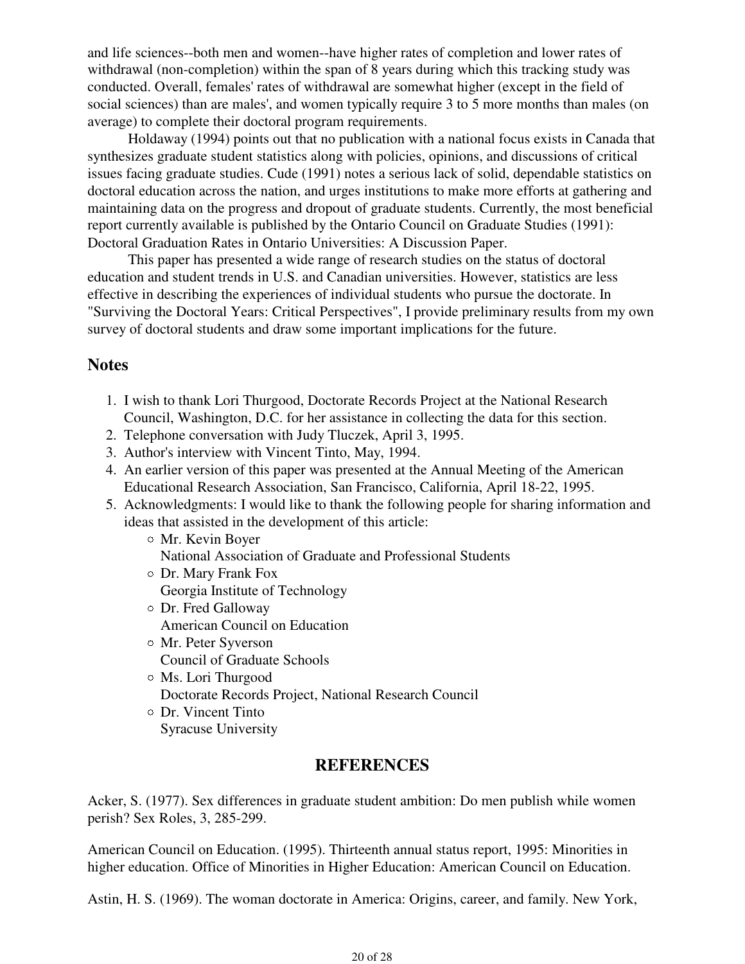and life sciences--both men and women--have higher rates of completion and lower rates of withdrawal (non-completion) within the span of 8 years during which this tracking study was conducted. Overall, females' rates of withdrawal are somewhat higher (except in the field of social sciences) than are males', and women typically require 3 to 5 more months than males (on average) to complete their doctoral program requirements.

 Holdaway (1994) points out that no publication with a national focus exists in Canada that synthesizes graduate student statistics along with policies, opinions, and discussions of critical issues facing graduate studies. Cude (1991) notes a serious lack of solid, dependable statistics on doctoral education across the nation, and urges institutions to make more efforts at gathering and maintaining data on the progress and dropout of graduate students. Currently, the most beneficial report currently available is published by the Ontario Council on Graduate Studies (1991): Doctoral Graduation Rates in Ontario Universities: A Discussion Paper.

 This paper has presented a wide range of research studies on the status of doctoral education and student trends in U.S. and Canadian universities. However, statistics are less effective in describing the experiences of individual students who pursue the doctorate. In "Surviving the Doctoral Years: Critical Perspectives", I provide preliminary results from my own survey of doctoral students and draw some important implications for the future.

## **Notes**

- 1. I wish to thank Lori Thurgood, Doctorate Records Project at the National Research Council, Washington, D.C. for her assistance in collecting the data for this section.
- 2. Telephone conversation with Judy Tluczek, April 3, 1995.
- 3. Author's interview with Vincent Tinto, May, 1994.
- An earlier version of this paper was presented at the Annual Meeting of the American 4. Educational Research Association, San Francisco, California, April 18-22, 1995.
- 5. Acknowledgments: I would like to thank the following people for sharing information and ideas that assisted in the development of this article:
	- Mr. Kevin Boyer National Association of Graduate and Professional Students Dr. Mary Frank Fox
		- Georgia Institute of Technology
	- Dr. Fred Galloway American Council on Education
	- Mr. Peter Syverson Council of Graduate Schools
	- Ms. Lori Thurgood Doctorate Records Project, National Research Council
	- Dr. Vincent Tinto Syracuse University

## **REFERENCES**

Acker, S. (1977). Sex differences in graduate student ambition: Do men publish while women perish? Sex Roles, 3, 285-299.

American Council on Education. (1995). Thirteenth annual status report, 1995: Minorities in higher education. Office of Minorities in Higher Education: American Council on Education.

Astin, H. S. (1969). The woman doctorate in America: Origins, career, and family. New York,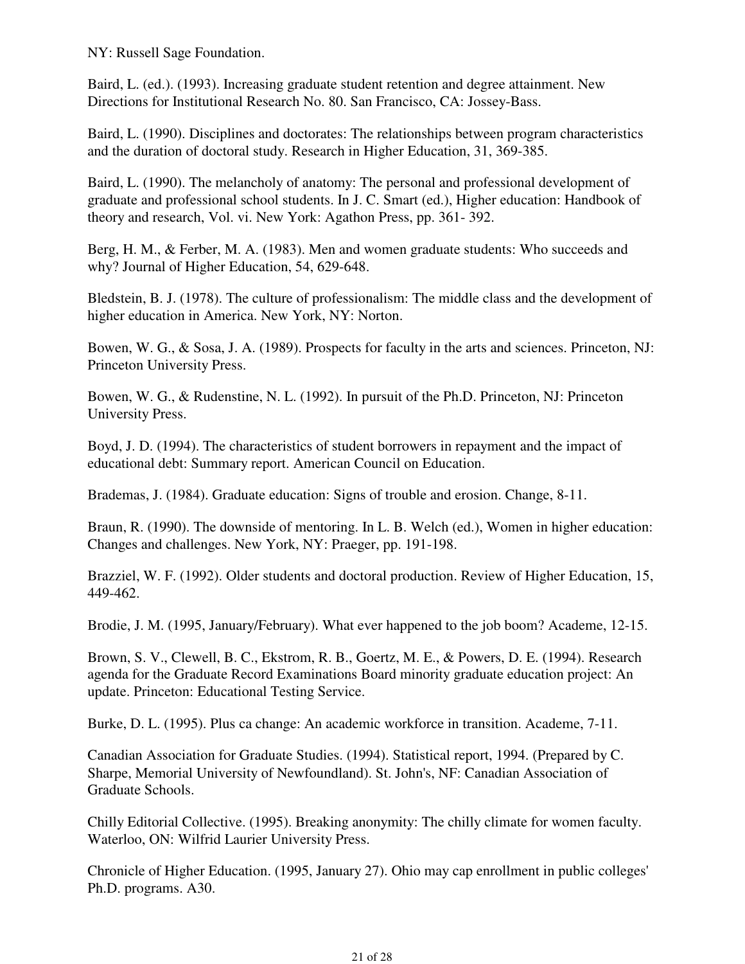NY: Russell Sage Foundation.

Baird, L. (ed.). (1993). Increasing graduate student retention and degree attainment. New Directions for Institutional Research No. 80. San Francisco, CA: Jossey-Bass.

Baird, L. (1990). Disciplines and doctorates: The relationships between program characteristics and the duration of doctoral study. Research in Higher Education, 31, 369-385.

Baird, L. (1990). The melancholy of anatomy: The personal and professional development of graduate and professional school students. In J. C. Smart (ed.), Higher education: Handbook of theory and research, Vol. vi. New York: Agathon Press, pp. 361- 392.

Berg, H. M., & Ferber, M. A. (1983). Men and women graduate students: Who succeeds and why? Journal of Higher Education, 54, 629-648.

Bledstein, B. J. (1978). The culture of professionalism: The middle class and the development of higher education in America. New York, NY: Norton.

Bowen, W. G., & Sosa, J. A. (1989). Prospects for faculty in the arts and sciences. Princeton, NJ: Princeton University Press.

Bowen, W. G., & Rudenstine, N. L. (1992). In pursuit of the Ph.D. Princeton, NJ: Princeton University Press.

Boyd, J. D. (1994). The characteristics of student borrowers in repayment and the impact of educational debt: Summary report. American Council on Education.

Brademas, J. (1984). Graduate education: Signs of trouble and erosion. Change, 8-11.

Braun, R. (1990). The downside of mentoring. In L. B. Welch (ed.), Women in higher education: Changes and challenges. New York, NY: Praeger, pp. 191-198.

Brazziel, W. F. (1992). Older students and doctoral production. Review of Higher Education, 15, 449-462.

Brodie, J. M. (1995, January/February). What ever happened to the job boom? Academe, 12-15.

Brown, S. V., Clewell, B. C., Ekstrom, R. B., Goertz, M. E., & Powers, D. E. (1994). Research agenda for the Graduate Record Examinations Board minority graduate education project: An update. Princeton: Educational Testing Service.

Burke, D. L. (1995). Plus ca change: An academic workforce in transition. Academe, 7-11.

Canadian Association for Graduate Studies. (1994). Statistical report, 1994. (Prepared by C. Sharpe, Memorial University of Newfoundland). St. John's, NF: Canadian Association of Graduate Schools.

Chilly Editorial Collective. (1995). Breaking anonymity: The chilly climate for women faculty. Waterloo, ON: Wilfrid Laurier University Press.

Chronicle of Higher Education. (1995, January 27). Ohio may cap enrollment in public colleges' Ph.D. programs. A30.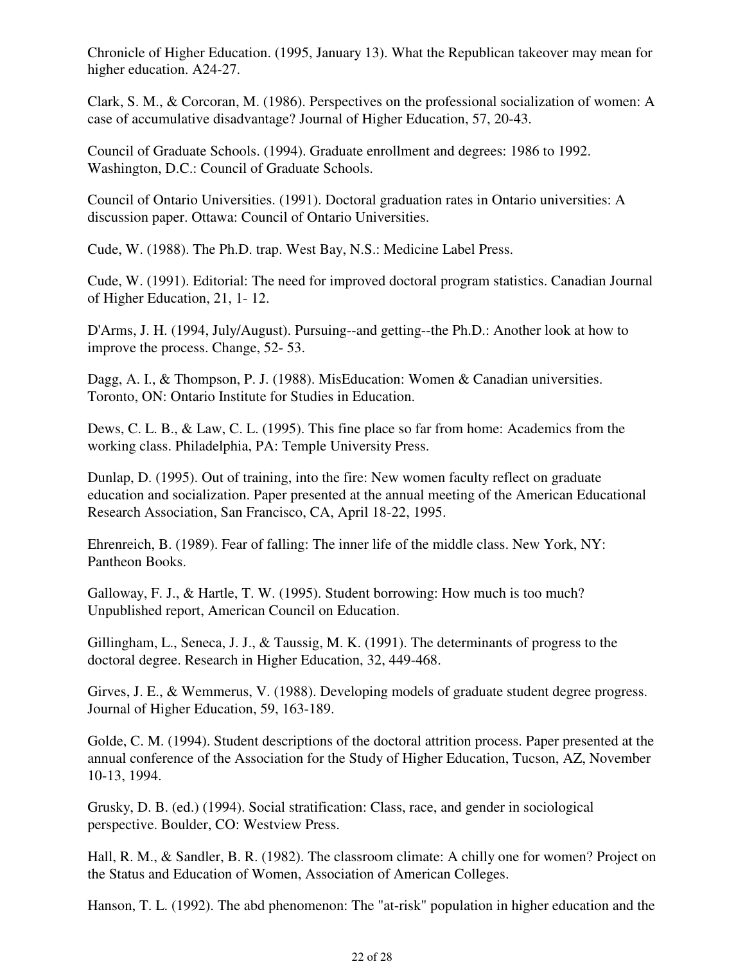Chronicle of Higher Education. (1995, January 13). What the Republican takeover may mean for higher education. A24-27.

Clark, S. M., & Corcoran, M. (1986). Perspectives on the professional socialization of women: A case of accumulative disadvantage? Journal of Higher Education, 57, 20-43.

Council of Graduate Schools. (1994). Graduate enrollment and degrees: 1986 to 1992. Washington, D.C.: Council of Graduate Schools.

Council of Ontario Universities. (1991). Doctoral graduation rates in Ontario universities: A discussion paper. Ottawa: Council of Ontario Universities.

Cude, W. (1988). The Ph.D. trap. West Bay, N.S.: Medicine Label Press.

Cude, W. (1991). Editorial: The need for improved doctoral program statistics. Canadian Journal of Higher Education, 21, 1- 12.

D'Arms, J. H. (1994, July/August). Pursuing--and getting--the Ph.D.: Another look at how to improve the process. Change, 52- 53.

Dagg, A. I., & Thompson, P. J. (1988). MisEducation: Women & Canadian universities. Toronto, ON: Ontario Institute for Studies in Education.

Dews, C. L. B., & Law, C. L. (1995). This fine place so far from home: Academics from the working class. Philadelphia, PA: Temple University Press.

Dunlap, D. (1995). Out of training, into the fire: New women faculty reflect on graduate education and socialization. Paper presented at the annual meeting of the American Educational Research Association, San Francisco, CA, April 18-22, 1995.

Ehrenreich, B. (1989). Fear of falling: The inner life of the middle class. New York, NY: Pantheon Books.

Galloway, F. J., & Hartle, T. W. (1995). Student borrowing: How much is too much? Unpublished report, American Council on Education.

Gillingham, L., Seneca, J. J., & Taussig, M. K. (1991). The determinants of progress to the doctoral degree. Research in Higher Education, 32, 449-468.

Girves, J. E., & Wemmerus, V. (1988). Developing models of graduate student degree progress. Journal of Higher Education, 59, 163-189.

Golde, C. M. (1994). Student descriptions of the doctoral attrition process. Paper presented at the annual conference of the Association for the Study of Higher Education, Tucson, AZ, November 10-13, 1994.

Grusky, D. B. (ed.) (1994). Social stratification: Class, race, and gender in sociological perspective. Boulder, CO: Westview Press.

Hall, R. M., & Sandler, B. R. (1982). The classroom climate: A chilly one for women? Project on the Status and Education of Women, Association of American Colleges.

Hanson, T. L. (1992). The abd phenomenon: The "at-risk" population in higher education and the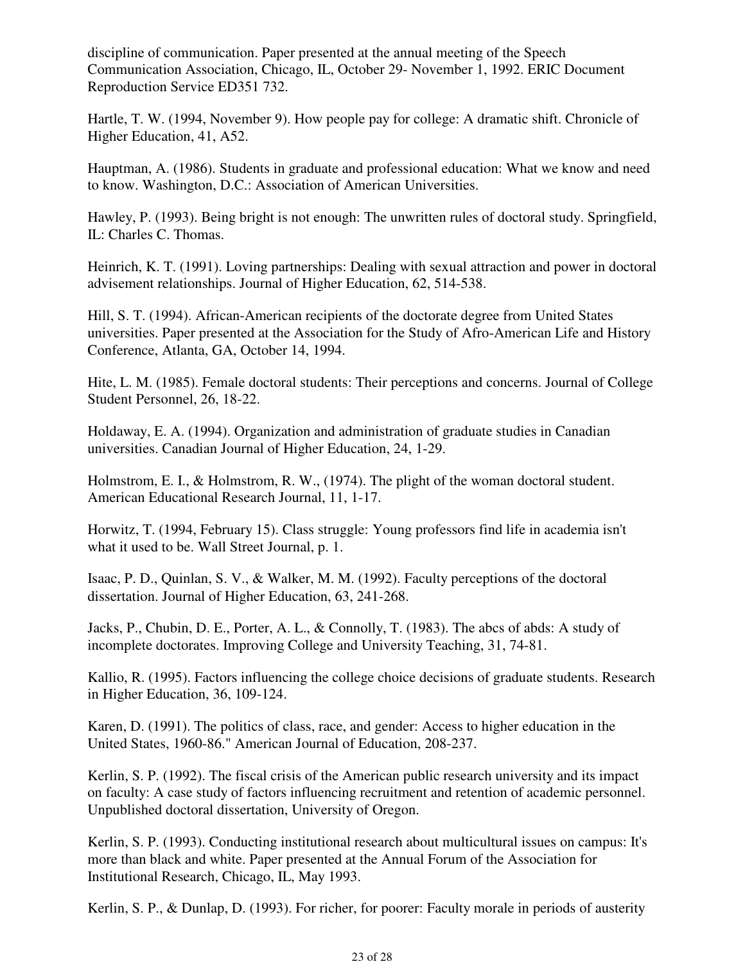discipline of communication. Paper presented at the annual meeting of the Speech Communication Association, Chicago, IL, October 29- November 1, 1992. ERIC Document Reproduction Service ED351 732.

Hartle, T. W. (1994, November 9). How people pay for college: A dramatic shift. Chronicle of Higher Education, 41, A52.

Hauptman, A. (1986). Students in graduate and professional education: What we know and need to know. Washington, D.C.: Association of American Universities.

Hawley, P. (1993). Being bright is not enough: The unwritten rules of doctoral study. Springfield, IL: Charles C. Thomas.

Heinrich, K. T. (1991). Loving partnerships: Dealing with sexual attraction and power in doctoral advisement relationships. Journal of Higher Education, 62, 514-538.

Hill, S. T. (1994). African-American recipients of the doctorate degree from United States universities. Paper presented at the Association for the Study of Afro-American Life and History Conference, Atlanta, GA, October 14, 1994.

Hite, L. M. (1985). Female doctoral students: Their perceptions and concerns. Journal of College Student Personnel, 26, 18-22.

Holdaway, E. A. (1994). Organization and administration of graduate studies in Canadian universities. Canadian Journal of Higher Education, 24, 1-29.

Holmstrom, E. I., & Holmstrom, R. W., (1974). The plight of the woman doctoral student. American Educational Research Journal, 11, 1-17.

Horwitz, T. (1994, February 15). Class struggle: Young professors find life in academia isn't what it used to be. Wall Street Journal, p. 1.

Isaac, P. D., Quinlan, S. V., & Walker, M. M. (1992). Faculty perceptions of the doctoral dissertation. Journal of Higher Education, 63, 241-268.

Jacks, P., Chubin, D. E., Porter, A. L., & Connolly, T. (1983). The abcs of abds: A study of incomplete doctorates. Improving College and University Teaching, 31, 74-81.

Kallio, R. (1995). Factors influencing the college choice decisions of graduate students. Research in Higher Education, 36, 109-124.

Karen, D. (1991). The politics of class, race, and gender: Access to higher education in the United States, 1960-86." American Journal of Education, 208-237.

Kerlin, S. P. (1992). The fiscal crisis of the American public research university and its impact on faculty: A case study of factors influencing recruitment and retention of academic personnel. Unpublished doctoral dissertation, University of Oregon.

Kerlin, S. P. (1993). Conducting institutional research about multicultural issues on campus: It's more than black and white. Paper presented at the Annual Forum of the Association for Institutional Research, Chicago, IL, May 1993.

Kerlin, S. P., & Dunlap, D. (1993). For richer, for poorer: Faculty morale in periods of austerity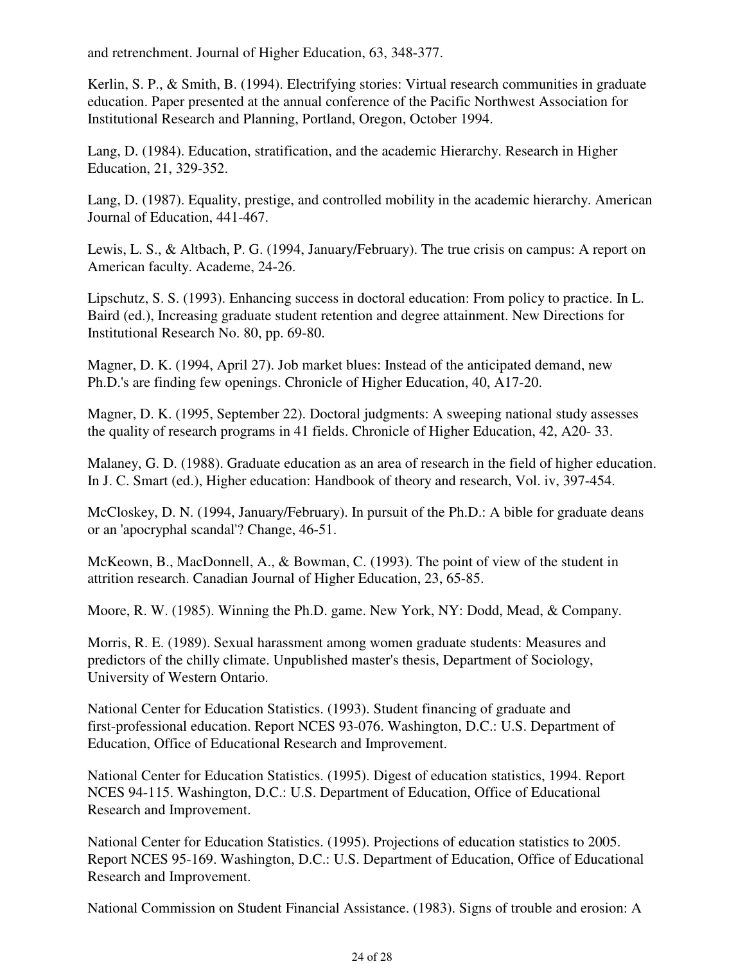and retrenchment. Journal of Higher Education, 63, 348-377.

Kerlin, S. P., & Smith, B. (1994). Electrifying stories: Virtual research communities in graduate education. Paper presented at the annual conference of the Pacific Northwest Association for Institutional Research and Planning, Portland, Oregon, October 1994.

Lang, D. (1984). Education, stratification, and the academic Hierarchy. Research in Higher Education, 21, 329-352.

Lang, D. (1987). Equality, prestige, and controlled mobility in the academic hierarchy. American Journal of Education, 441-467.

Lewis, L. S., & Altbach, P. G. (1994, January/February). The true crisis on campus: A report on American faculty. Academe, 24-26.

Lipschutz, S. S. (1993). Enhancing success in doctoral education: From policy to practice. In L. Baird (ed.), Increasing graduate student retention and degree attainment. New Directions for Institutional Research No. 80, pp. 69-80.

Magner, D. K. (1994, April 27). Job market blues: Instead of the anticipated demand, new Ph.D.'s are finding few openings. Chronicle of Higher Education, 40, A17-20.

Magner, D. K. (1995, September 22). Doctoral judgments: A sweeping national study assesses the quality of research programs in 41 fields. Chronicle of Higher Education, 42, A20- 33.

Malaney, G. D. (1988). Graduate education as an area of research in the field of higher education. In J. C. Smart (ed.), Higher education: Handbook of theory and research, Vol. iv, 397-454.

McCloskey, D. N. (1994, January/February). In pursuit of the Ph.D.: A bible for graduate deans or an 'apocryphal scandal'? Change, 46-51.

McKeown, B., MacDonnell, A., & Bowman, C. (1993). The point of view of the student in attrition research. Canadian Journal of Higher Education, 23, 65-85.

Moore, R. W. (1985). Winning the Ph.D. game. New York, NY: Dodd, Mead, & Company.

Morris, R. E. (1989). Sexual harassment among women graduate students: Measures and predictors of the chilly climate. Unpublished master's thesis, Department of Sociology, University of Western Ontario.

National Center for Education Statistics. (1993). Student financing of graduate and first-professional education. Report NCES 93-076. Washington, D.C.: U.S. Department of Education, Office of Educational Research and Improvement.

National Center for Education Statistics. (1995). Digest of education statistics, 1994. Report NCES 94-115. Washington, D.C.: U.S. Department of Education, Office of Educational Research and Improvement.

National Center for Education Statistics. (1995). Projections of education statistics to 2005. Report NCES 95-169. Washington, D.C.: U.S. Department of Education, Office of Educational Research and Improvement.

National Commission on Student Financial Assistance. (1983). Signs of trouble and erosion: A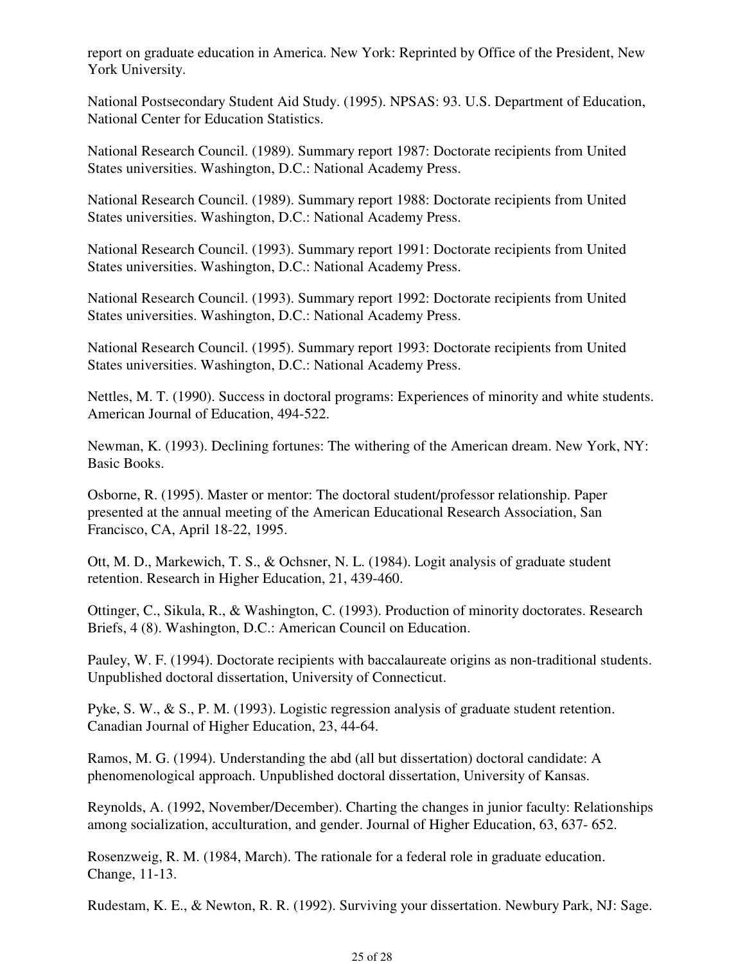report on graduate education in America. New York: Reprinted by Office of the President, New York University.

National Postsecondary Student Aid Study. (1995). NPSAS: 93. U.S. Department of Education, National Center for Education Statistics.

National Research Council. (1989). Summary report 1987: Doctorate recipients from United States universities. Washington, D.C.: National Academy Press.

National Research Council. (1989). Summary report 1988: Doctorate recipients from United States universities. Washington, D.C.: National Academy Press.

National Research Council. (1993). Summary report 1991: Doctorate recipients from United States universities. Washington, D.C.: National Academy Press.

National Research Council. (1993). Summary report 1992: Doctorate recipients from United States universities. Washington, D.C.: National Academy Press.

National Research Council. (1995). Summary report 1993: Doctorate recipients from United States universities. Washington, D.C.: National Academy Press.

Nettles, M. T. (1990). Success in doctoral programs: Experiences of minority and white students. American Journal of Education, 494-522.

Newman, K. (1993). Declining fortunes: The withering of the American dream. New York, NY: Basic Books.

Osborne, R. (1995). Master or mentor: The doctoral student/professor relationship. Paper presented at the annual meeting of the American Educational Research Association, San Francisco, CA, April 18-22, 1995.

Ott, M. D., Markewich, T. S., & Ochsner, N. L. (1984). Logit analysis of graduate student retention. Research in Higher Education, 21, 439-460.

Ottinger, C., Sikula, R., & Washington, C. (1993). Production of minority doctorates. Research Briefs, 4 (8). Washington, D.C.: American Council on Education.

Pauley, W. F. (1994). Doctorate recipients with baccalaureate origins as non-traditional students. Unpublished doctoral dissertation, University of Connecticut.

Pyke, S. W., & S., P. M. (1993). Logistic regression analysis of graduate student retention. Canadian Journal of Higher Education, 23, 44-64.

Ramos, M. G. (1994). Understanding the abd (all but dissertation) doctoral candidate: A phenomenological approach. Unpublished doctoral dissertation, University of Kansas.

Reynolds, A. (1992, November/December). Charting the changes in junior faculty: Relationships among socialization, acculturation, and gender. Journal of Higher Education, 63, 637- 652.

Rosenzweig, R. M. (1984, March). The rationale for a federal role in graduate education. Change, 11-13.

Rudestam, K. E., & Newton, R. R. (1992). Surviving your dissertation. Newbury Park, NJ: Sage.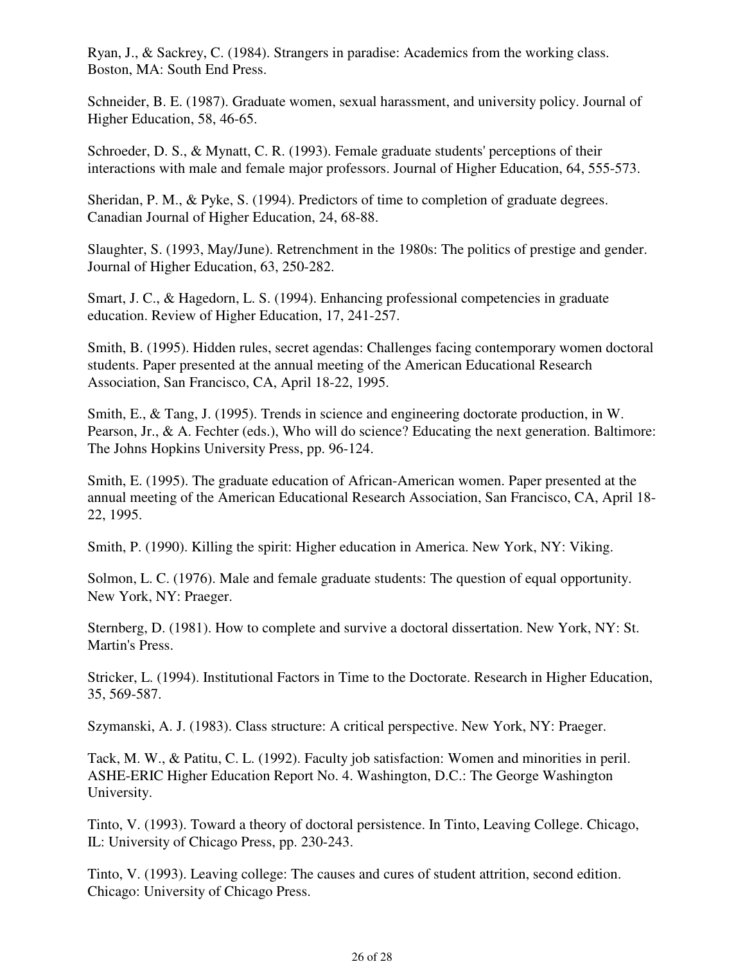Ryan, J., & Sackrey, C. (1984). Strangers in paradise: Academics from the working class. Boston, MA: South End Press.

Schneider, B. E. (1987). Graduate women, sexual harassment, and university policy. Journal of Higher Education, 58, 46-65.

Schroeder, D. S., & Mynatt, C. R. (1993). Female graduate students' perceptions of their interactions with male and female major professors. Journal of Higher Education, 64, 555-573.

Sheridan, P. M., & Pyke, S. (1994). Predictors of time to completion of graduate degrees. Canadian Journal of Higher Education, 24, 68-88.

Slaughter, S. (1993, May/June). Retrenchment in the 1980s: The politics of prestige and gender. Journal of Higher Education, 63, 250-282.

Smart, J. C., & Hagedorn, L. S. (1994). Enhancing professional competencies in graduate education. Review of Higher Education, 17, 241-257.

Smith, B. (1995). Hidden rules, secret agendas: Challenges facing contemporary women doctoral students. Paper presented at the annual meeting of the American Educational Research Association, San Francisco, CA, April 18-22, 1995.

Smith, E., & Tang, J. (1995). Trends in science and engineering doctorate production, in W. Pearson, Jr., & A. Fechter (eds.), Who will do science? Educating the next generation. Baltimore: The Johns Hopkins University Press, pp. 96-124.

Smith, E. (1995). The graduate education of African-American women. Paper presented at the annual meeting of the American Educational Research Association, San Francisco, CA, April 18- 22, 1995.

Smith, P. (1990). Killing the spirit: Higher education in America. New York, NY: Viking.

Solmon, L. C. (1976). Male and female graduate students: The question of equal opportunity. New York, NY: Praeger.

Sternberg, D. (1981). How to complete and survive a doctoral dissertation. New York, NY: St. Martin's Press.

Stricker, L. (1994). Institutional Factors in Time to the Doctorate. Research in Higher Education, 35, 569-587.

Szymanski, A. J. (1983). Class structure: A critical perspective. New York, NY: Praeger.

Tack, M. W., & Patitu, C. L. (1992). Faculty job satisfaction: Women and minorities in peril. ASHE-ERIC Higher Education Report No. 4. Washington, D.C.: The George Washington University.

Tinto, V. (1993). Toward a theory of doctoral persistence. In Tinto, Leaving College. Chicago, IL: University of Chicago Press, pp. 230-243.

Tinto, V. (1993). Leaving college: The causes and cures of student attrition, second edition. Chicago: University of Chicago Press.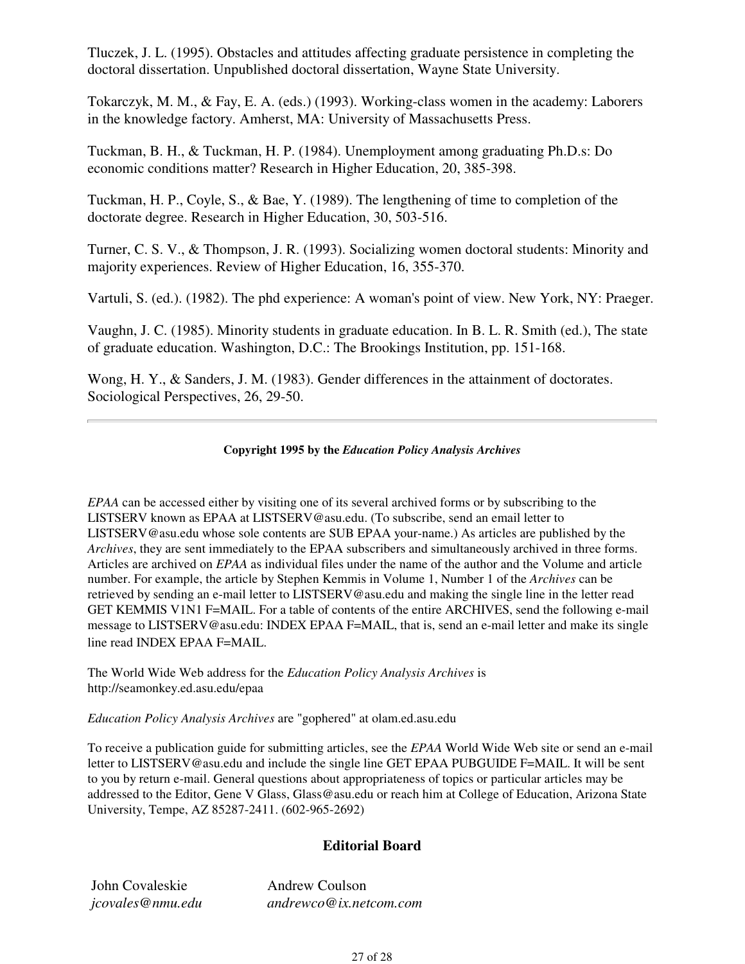Tluczek, J. L. (1995). Obstacles and attitudes affecting graduate persistence in completing the doctoral dissertation. Unpublished doctoral dissertation, Wayne State University.

Tokarczyk, M. M., & Fay, E. A. (eds.) (1993). Working-class women in the academy: Laborers in the knowledge factory. Amherst, MA: University of Massachusetts Press.

Tuckman, B. H., & Tuckman, H. P. (1984). Unemployment among graduating Ph.D.s: Do economic conditions matter? Research in Higher Education, 20, 385-398.

Tuckman, H. P., Coyle, S., & Bae, Y. (1989). The lengthening of time to completion of the doctorate degree. Research in Higher Education, 30, 503-516.

Turner, C. S. V., & Thompson, J. R. (1993). Socializing women doctoral students: Minority and majority experiences. Review of Higher Education, 16, 355-370.

Vartuli, S. (ed.). (1982). The phd experience: A woman's point of view. New York, NY: Praeger.

Vaughn, J. C. (1985). Minority students in graduate education. In B. L. R. Smith (ed.), The state of graduate education. Washington, D.C.: The Brookings Institution, pp. 151-168.

Wong, H. Y., & Sanders, J. M. (1983). Gender differences in the attainment of doctorates. Sociological Perspectives, 26, 29-50.

#### **Copyright 1995 by the** *Education Policy Analysis Archives*

*EPAA* can be accessed either by visiting one of its several archived forms or by subscribing to the LISTSERV known as EPAA at LISTSERV@asu.edu. (To subscribe, send an email letter to LISTSERV@asu.edu whose sole contents are SUB EPAA your-name.) As articles are published by the *Archives*, they are sent immediately to the EPAA subscribers and simultaneously archived in three forms. Articles are archived on *EPAA* as individual files under the name of the author and the Volume and article number. For example, the article by Stephen Kemmis in Volume 1, Number 1 of the *Archives* can be retrieved by sending an e-mail letter to LISTSERV@asu.edu and making the single line in the letter read GET KEMMIS V1N1 F=MAIL. For a table of contents of the entire ARCHIVES, send the following e-mail message to LISTSERV@asu.edu: INDEX EPAA F=MAIL, that is, send an e-mail letter and make its single line read INDEX EPAA F=MAIL.

The World Wide Web address for the *Education Policy Analysis Archives* is http://seamonkey.ed.asu.edu/epaa

*Education Policy Analysis Archives* are "gophered" at olam.ed.asu.edu

To receive a publication guide for submitting articles, see the *EPAA* World Wide Web site or send an e-mail letter to LISTSERV@asu.edu and include the single line GET EPAA PUBGUIDE F=MAIL. It will be sent to you by return e-mail. General questions about appropriateness of topics or particular articles may be addressed to the Editor, Gene V Glass, Glass@asu.edu or reach him at College of Education, Arizona State University, Tempe, AZ 85287-2411. (602-965-2692)

#### **Editorial Board**

| John Covaleskie  | <b>Andrew Coulson</b>  |
|------------------|------------------------|
| jcovales@nmu.edu | andrewco@ix.netcom.com |